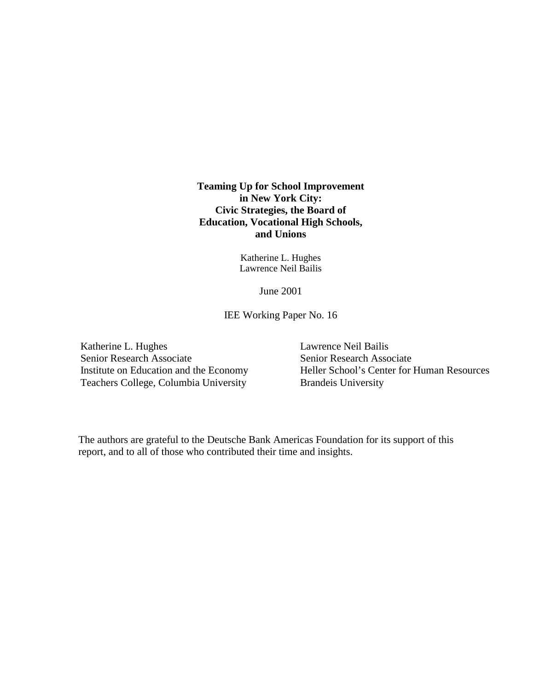**Teaming Up for School Improvement in New York City: Civic Strategies, the Board of Education, Vocational High Schools, and Unions** 

> Katherine L. Hughes Lawrence Neil Bailis

> > June 2001

IEE Working Paper No. 16

Katherine L. Hughes Senior Research Associate Institute on Education and the Economy Teachers College, Columbia University

Lawrence Neil Bailis Senior Research Associate Heller School's Center for Human Resources Brandeis University

The authors are grateful to the Deutsche Bank Americas Foundation for its support of this report, and to all of those who contributed their time and insights.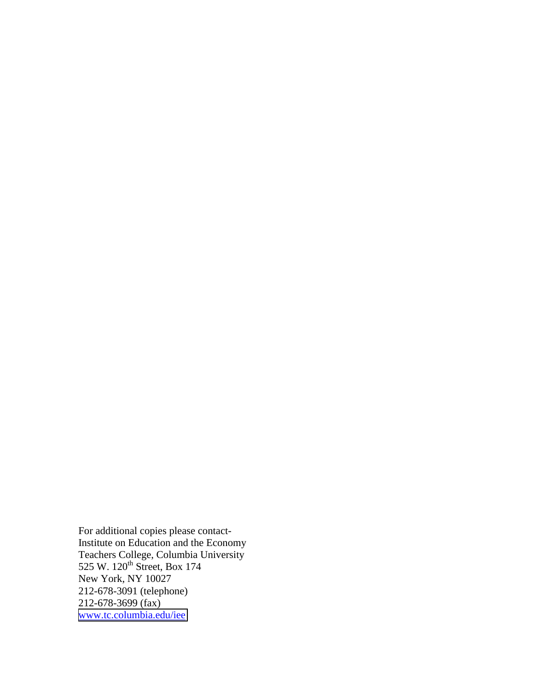For additional copies please contact-Institute on Education and the Economy Teachers College, Columbia University 525 W. 120<sup>th</sup> Street, Box 174 New York, NY 10027 212-678-3091 (telephone) 212-678-3699 (fax) [www.tc.columbia.edu/iee](http://www.tc.columbia.edu/iee)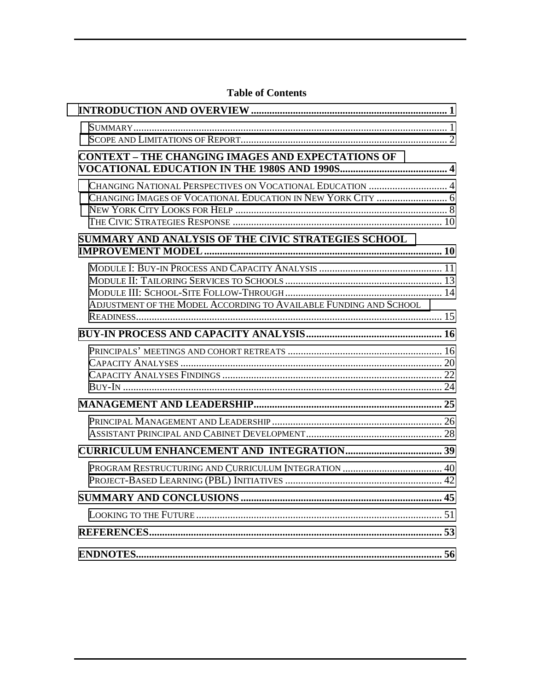| Table of Contents                                                 |  |
|-------------------------------------------------------------------|--|
|                                                                   |  |
|                                                                   |  |
|                                                                   |  |
| <b>CONTEXT - THE CHANGING IMAGES AND EXPECTATIONS OF</b>          |  |
| CHANGING NATIONAL PERSPECTIVES ON VOCATIONAL EDUCATION  4         |  |
|                                                                   |  |
|                                                                   |  |
| SUMMARY AND ANALYSIS OF THE CIVIC STRATEGIES SCHOOL               |  |
|                                                                   |  |
|                                                                   |  |
|                                                                   |  |
|                                                                   |  |
| ADJUSTMENT OF THE MODEL ACCORDING TO AVAILABLE FUNDING AND SCHOOL |  |
|                                                                   |  |
|                                                                   |  |
|                                                                   |  |
|                                                                   |  |
|                                                                   |  |
|                                                                   |  |
|                                                                   |  |
|                                                                   |  |
|                                                                   |  |
|                                                                   |  |
|                                                                   |  |
| PROJECT-BASED LEARNING (PBL) INITIATIVES                          |  |
|                                                                   |  |
|                                                                   |  |
|                                                                   |  |
|                                                                   |  |

# **Table of Contents**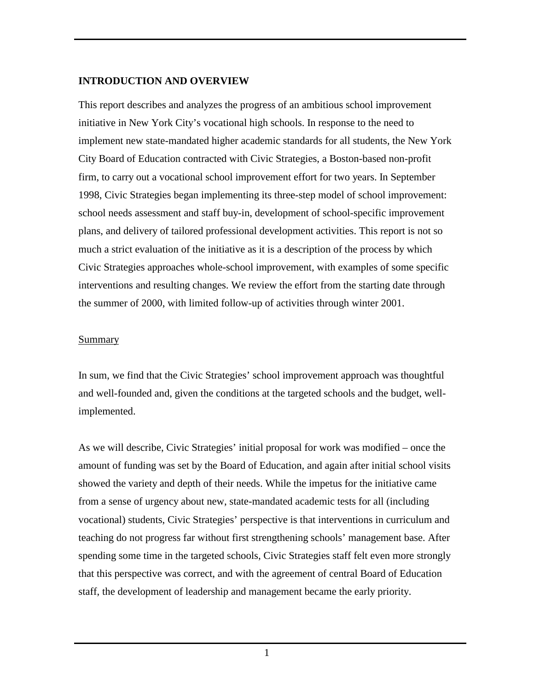#### <span id="page-3-0"></span>**INTRODUCTION AND OVERVIEW**

This report describes and analyzes the progress of an ambitious school improvement initiative in New York City's vocational high schools. In response to the need to implement new state-mandated higher academic standards for all students, the New York City Board of Education contracted with Civic Strategies, a Boston-based non-profit firm, to carry out a vocational school improvement effort for two years. In September 1998, Civic Strategies began implementing its three-step model of school improvement: school needs assessment and staff buy-in, development of school-specific improvement plans, and delivery of tailored professional development activities. This report is not so much a strict evaluation of the initiative as it is a description of the process by which Civic Strategies approaches whole-school improvement, with examples of some specific interventions and resulting changes. We review the effort from the starting date through the summer of 2000, with limited follow-up of activities through winter 2001.

#### Summary

In sum, we find that the Civic Strategies' school improvement approach was thoughtful and well-founded and, given the conditions at the targeted schools and the budget, wellimplemented.

As we will describe, Civic Strategies' initial proposal for work was modified – once the amount of funding was set by the Board of Education, and again after initial school visits showed the variety and depth of their needs. While the impetus for the initiative came from a sense of urgency about new, state-mandated academic tests for all (including vocational) students, Civic Strategies' perspective is that interventions in curriculum and teaching do not progress far without first strengthening schools' management base. After spending some time in the targeted schools, Civic Strategies staff felt even more strongly that this perspective was correct, and with the agreement of central Board of Education staff, the development of leadership and management became the early priority.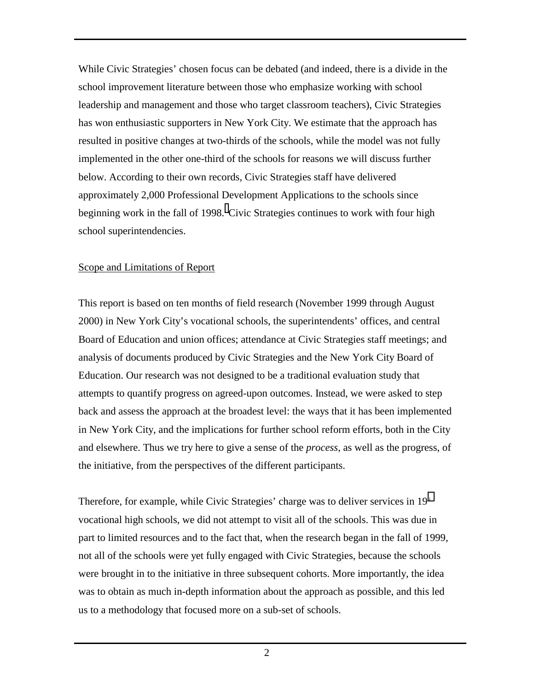<span id="page-4-0"></span>While Civic Strategies' chosen focus can be debated (and indeed, there is a divide in the school improvement literature between those who emphasize working with school leadership and management and those who target classroom teachers), Civic Strategies has won enthusiastic supporters in New York City. We estimate that the approach has resulted in positive changes at two-thirds of the schools, while the model was not fully implemented in the other one-third of the schools for reasons we will discuss further below. According to their own records, Civic Strategies staff have delivered approximately 2,000 Professional Development Applications to the schools since beginningwork in the fall of 1998. Civic Strategies continues to work with four high school superintendencies.

#### Scope and Limitations of Report

This report is based on ten months of field research (November 1999 through August 2000) in New York City's vocational schools, the superintendents' offices, and central Board of Education and union offices; attendance at Civic Strategies staff meetings; and analysis of documents produced by Civic Strategies and the New York City Board of Education. Our research was not designed to be a traditional evaluation study that attempts to quantify progress on agreed-upon outcomes. Instead, we were asked to step back and assess the approach at the broadest level: the ways that it has been implemented in New York City, and the implications for further school reform efforts, both in the City and elsewhere. Thus we try here to give a sense of the *process*, as well as the progress, of the initiative, from the perspectives of the different participants.

Therefore, for example, while Civic Strategies' charge was to deliver services in 19<sup>[ii](#page-58-0)</sup> vocational high schools, we did not attempt to visit all of the schools. This was due in part to limited resources and to the fact that, when the research began in the fall of 1999, not all of the schools were yet fully engaged with Civic Strategies, because the schools were brought in to the initiative in three subsequent cohorts. More importantly, the idea was to obtain as much in-depth information about the approach as possible, and this led us to a methodology that focused more on a sub-set of schools.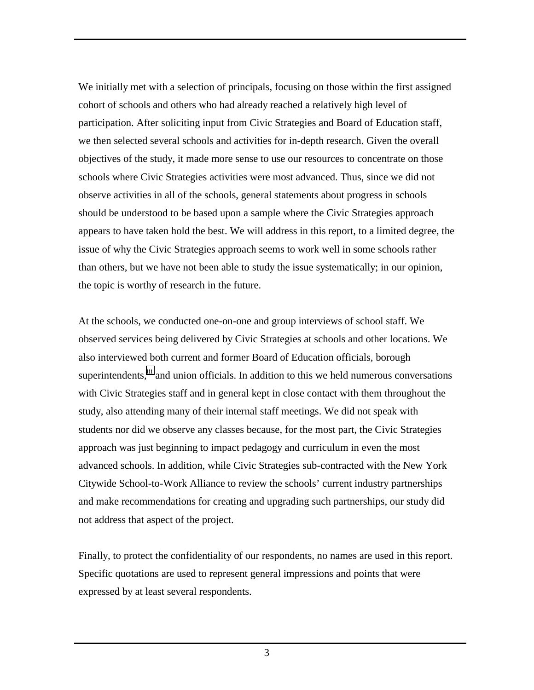We initially met with a selection of principals, focusing on those within the first assigned cohort of schools and others who had already reached a relatively high level of participation. After soliciting input from Civic Strategies and Board of Education staff, we then selected several schools and activities for in-depth research. Given the overall objectives of the study, it made more sense to use our resources to concentrate on those schools where Civic Strategies activities were most advanced. Thus, since we did not observe activities in all of the schools, general statements about progress in schools should be understood to be based upon a sample where the Civic Strategies approach appears to have taken hold the best. We will address in this report, to a limited degree, the issue of why the Civic Strategies approach seems to work well in some schools rather than others, but we have not been able to study the issue systematically; in our opinion, the topic is worthy of research in the future.

At the schools, we conducted one-on-one and group interviews of school staff. We observed services being delivered by Civic Strategies at schools and other locations. We also interviewed both current and former Board of Education officials, borough superintendents,<sup>iii</sup> and union officials. In addition to this we held numerous conversations with Civic Strategies staff and in general kept in close contact with them throughout the study, also attending many of their internal staff meetings. We did not speak with students nor did we observe any classes because, for the most part, the Civic Strategies approach was just beginning to impact pedagogy and curriculum in even the most advanced schools. In addition, while Civic Strategies sub-contracted with the New York Citywide School-to-Work Alliance to review the schools' current industry partnerships and make recommendations for creating and upgrading such partnerships, our study did not address that aspect of the project.

Finally, to protect the confidentiality of our respondents, no names are used in this report. Specific quotations are used to represent general impressions and points that were expressed by at least several respondents.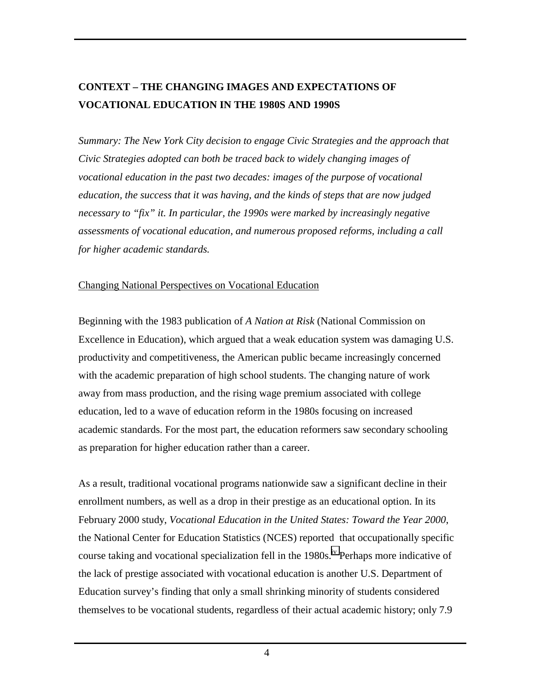# <span id="page-6-0"></span>**CONTEXT – THE CHANGING IMAGES AND EXPECTATIONS OF VOCATIONAL EDUCATION IN THE 1980S AND 1990S**

*Summary: The New York City decision to engage Civic Strategies and the approach that Civic Strategies adopted can both be traced back to widely changing images of vocational education in the past two decades: images of the purpose of vocational education, the success that it was having, and the kinds of steps that are now judged necessary to "fix" it. In particular, the 1990s were marked by increasingly negative assessments of vocational education, and numerous proposed reforms, including a call for higher academic standards.* 

#### Changing National Perspectives on Vocational Education

Beginning with the 1983 publication of *A Nation at Risk* (National Commission on Excellence in Education), which argued that a weak education system was damaging U.S. productivity and competitiveness, the American public became increasingly concerned with the academic preparation of high school students. The changing nature of work away from mass production, and the rising wage premium associated with college education, led to a wave of education reform in the 1980s focusing on increased academic standards. For the most part, the education reformers saw secondary schooling as preparation for higher education rather than a career.

As a result, traditional vocational programs nationwide saw a significant decline in their enrollment numbers, as well as a drop in their prestige as an educational option. In its February 2000 study, *Vocational Education in the United States: Toward the Year 2000*, the National Center for Education Statistics (NCES) reported that occupationally specific course taking and vocational specialization fell in the 1980s.<sup>iv</sup> Perhaps more indicative of the lack of prestige associated with vocational education is another U.S. Department of Education survey's finding that only a small shrinking minority of students considered themselves to be vocational students, regardless of their actual academic history; only 7.9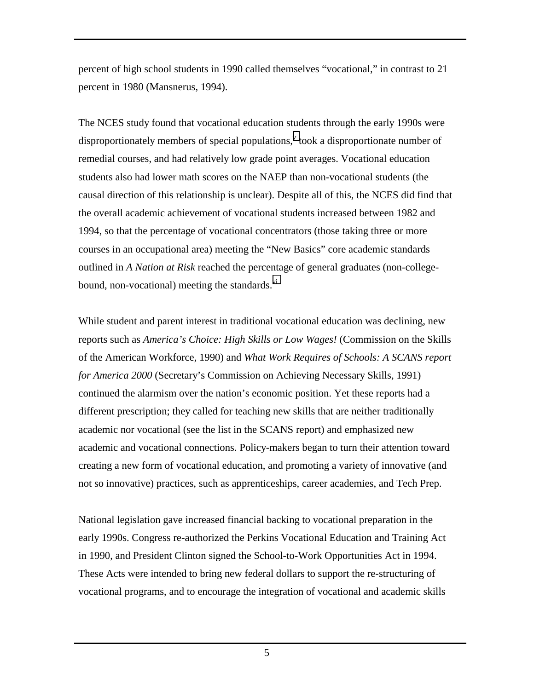percent of high school students in 1990 called themselves "vocational," in contrast to 21 percent in 1980 (Mansnerus, 1994).

The NCES study found that vocational education students through the early 1990s were disproportionately members of special populations,  $v$  took a disproportionate number of remedial courses, and had relatively low grade point averages. Vocational education students also had lower math scores on the NAEP than non-vocational students (the causal direction of this relationship is unclear). Despite all of this, the NCES did find that the overall academic achievement of vocational students increased between 1982 and 1994, so that the percentage of vocational concentrators (those taking three or more courses in an occupational area) meeting the "New Basics" core academic standards outlined in *A Nation at Risk* reached the percentage of general graduates (non-collegebound, non-vocational) meeting the standards.<sup>vi</sup>

While student and parent interest in traditional vocational education was declining, new reports such as *America's Choice: High Skills or Low Wages!* (Commission on the Skills of the American Workforce, 1990) and *What Work Requires of Schools: A SCANS report for America 2000* (Secretary's Commission on Achieving Necessary Skills, 1991) continued the alarmism over the nation's economic position. Yet these reports had a different prescription; they called for teaching new skills that are neither traditionally academic nor vocational (see the list in the SCANS report) and emphasized new academic and vocational connections. Policy-makers began to turn their attention toward creating a new form of vocational education, and promoting a variety of innovative (and not so innovative) practices, such as apprenticeships, career academies, and Tech Prep.

National legislation gave increased financial backing to vocational preparation in the early 1990s. Congress re-authorized the Perkins Vocational Education and Training Act in 1990, and President Clinton signed the School-to-Work Opportunities Act in 1994. These Acts were intended to bring new federal dollars to support the re-structuring of vocational programs, and to encourage the integration of vocational and academic skills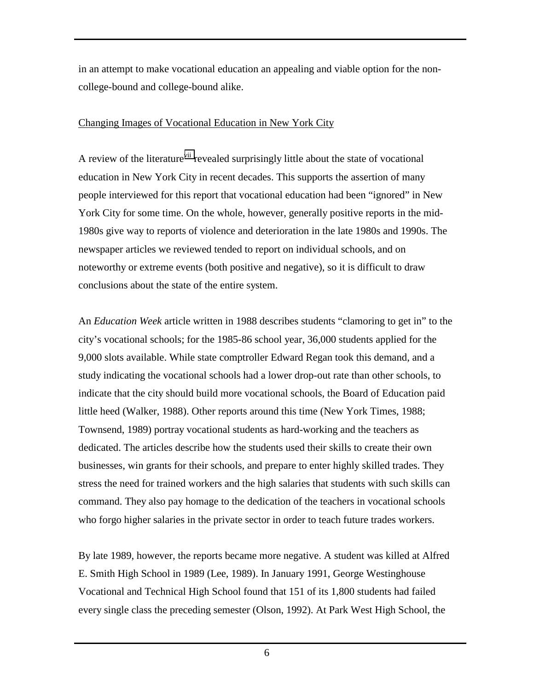<span id="page-8-0"></span>in an attempt to make vocational education an appealing and viable option for the noncollege-bound and college-bound alike.

#### Changing Images of Vocational Education in New York City

A review of the literature<sup>vii</sup> revealed surprisingly little about the state of vocational education in New York City in recent decades. This supports the assertion of many people interviewed for this report that vocational education had been "ignored" in New York City for some time. On the whole, however, generally positive reports in the mid-1980s give way to reports of violence and deterioration in the late 1980s and 1990s. The newspaper articles we reviewed tended to report on individual schools, and on noteworthy or extreme events (both positive and negative), so it is difficult to draw conclusions about the state of the entire system.

An *Education Week* article written in 1988 describes students "clamoring to get in" to the city's vocational schools; for the 1985-86 school year, 36,000 students applied for the 9,000 slots available. While state comptroller Edward Regan took this demand, and a study indicating the vocational schools had a lower drop-out rate than other schools, to indicate that the city should build more vocational schools, the Board of Education paid little heed (Walker, 1988). Other reports around this time (New York Times, 1988; Townsend, 1989) portray vocational students as hard-working and the teachers as dedicated. The articles describe how the students used their skills to create their own businesses, win grants for their schools, and prepare to enter highly skilled trades. They stress the need for trained workers and the high salaries that students with such skills can command. They also pay homage to the dedication of the teachers in vocational schools who forgo higher salaries in the private sector in order to teach future trades workers.

By late 1989, however, the reports became more negative. A student was killed at Alfred E. Smith High School in 1989 (Lee, 1989). In January 1991, George Westinghouse Vocational and Technical High School found that 151 of its 1,800 students had failed every single class the preceding semester (Olson, 1992). At Park West High School, the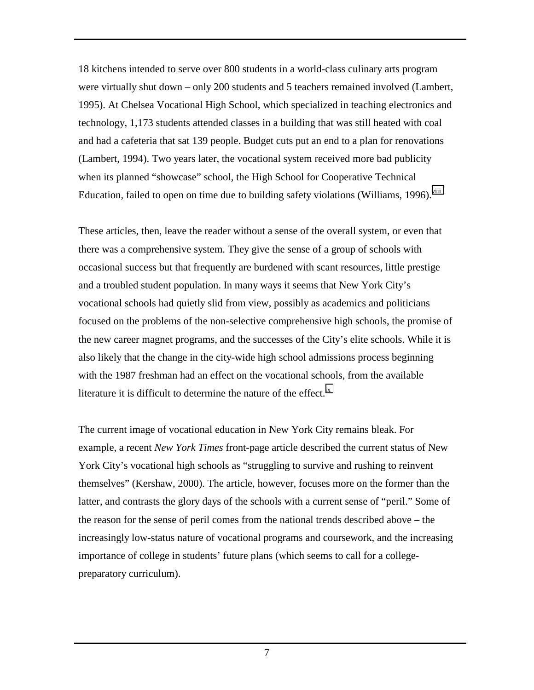18 kitchens intended to serve over 800 students in a world-class culinary arts program were virtually shut down – only 200 students and 5 teachers remained involved (Lambert, 1995). At Chelsea Vocational High School, which specialized in teaching electronics and technology, 1,173 students attended classes in a building that was still heated with coal and had a cafeteria that sat 139 people. Budget cuts put an end to a plan for renovations (Lambert, 1994). Two years later, the vocational system received more bad publicity when its planned "showcase" school, the High School for Cooperative Technical Education, failed to open on time due to building safety violations (Williams, 1996).<sup>viii</sup>

These articles, then, leave the reader without a sense of the overall system, or even that there was a comprehensive system. They give the sense of a group of schools with occasional success but that frequently are burdened with scant resources, little prestige and a troubled student population. In many ways it seems that New York City's vocational schools had quietly slid from view, possibly as academics and politicians focused on the problems of the non-selective comprehensive high schools, the promise of the new career magnet programs, and the successes of the City's elite schools. While it is also likely that the change in the city-wide high school admissions process beginning with the 1987 freshman had an effect on the vocational schools, from the available literature it is difficult to determine the nature of the effect. $\frac{ix}{ }$ 

The current image of vocational education in New York City remains bleak. For example, a recent *New York Times* front-page article described the current status of New York City's vocational high schools as "struggling to survive and rushing to reinvent themselves" (Kershaw, 2000). The article, however, focuses more on the former than the latter, and contrasts the glory days of the schools with a current sense of "peril." Some of the reason for the sense of peril comes from the national trends described above – the increasingly low-status nature of vocational programs and coursework, and the increasing importance of college in students' future plans (which seems to call for a collegepreparatory curriculum).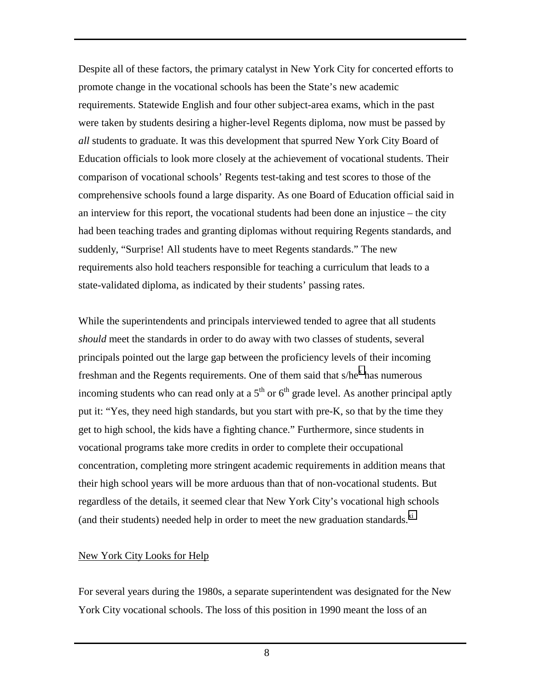<span id="page-10-0"></span>Despite all of these factors, the primary catalyst in New York City for concerted efforts to promote change in the vocational schools has been the State's new academic requirements. Statewide English and four other subject-area exams, which in the past were taken by students desiring a higher-level Regents diploma, now must be passed by *all* students to graduate. It was this development that spurred New York City Board of Education officials to look more closely at the achievement of vocational students. Their comparison of vocational schools' Regents test-taking and test scores to those of the comprehensive schools found a large disparity. As one Board of Education official said in an interview for this report, the vocational students had been done an injustice – the city had been teaching trades and granting diplomas without requiring Regents standards, and suddenly, "Surprise! All students have to meet Regents standards." The new requirements also hold teachers responsible for teaching a curriculum that leads to a state-validated diploma, as indicated by their students' passing rates.

While the superintendents and principals interviewed tended to agree that all students *should* meet the standards in order to do away with two classes of students, several principals pointed out the large gap between the proficiency levels of their incoming freshman and the Regents requirements. One of them said that  $s/he<sup>x</sup>$  $s/he<sup>x</sup>$  $s/he<sup>x</sup>$  has numerous incoming students who can read only at a  $5<sup>th</sup>$  or  $6<sup>th</sup>$  grade level. As another principal aptly put it: "Yes, they need high standards, but you start with pre-K, so that by the time they get to high school, the kids have a fighting chance." Furthermore, since students in vocational programs take more credits in order to complete their occupational concentration, completing more stringent academic requirements in addition means that their high school years will be more arduous than that of non-vocational students. But regardless of the details, it seemed clear that New York City's vocational high schools (and their students) needed help in order to meet the new graduation standards.<sup>[xi](#page-58-0)</sup>

### New York City Looks for Help

For several years during the 1980s, a separate superintendent was designated for the New York City vocational schools. The loss of this position in 1990 meant the loss of an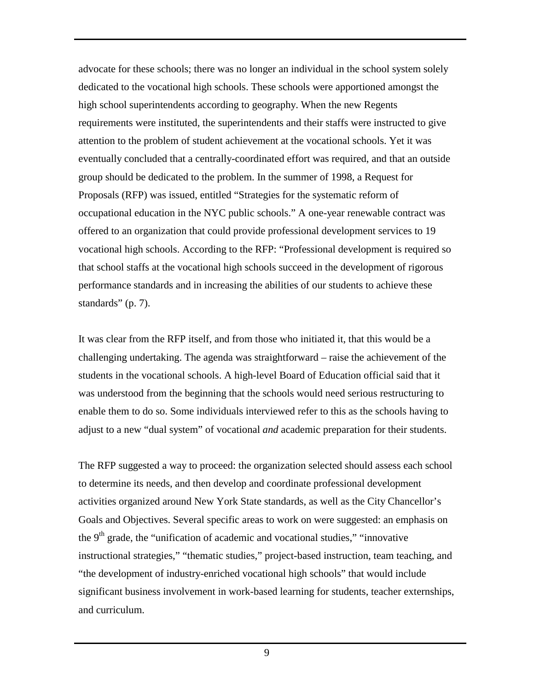advocate for these schools; there was no longer an individual in the school system solely dedicated to the vocational high schools. These schools were apportioned amongst the high school superintendents according to geography. When the new Regents requirements were instituted, the superintendents and their staffs were instructed to give attention to the problem of student achievement at the vocational schools. Yet it was eventually concluded that a centrally-coordinated effort was required, and that an outside group should be dedicated to the problem. In the summer of 1998, a Request for Proposals (RFP) was issued, entitled "Strategies for the systematic reform of occupational education in the NYC public schools." A one-year renewable contract was offered to an organization that could provide professional development services to 19 vocational high schools. According to the RFP: "Professional development is required so that school staffs at the vocational high schools succeed in the development of rigorous performance standards and in increasing the abilities of our students to achieve these standards" (p. 7).

It was clear from the RFP itself, and from those who initiated it, that this would be a challenging undertaking. The agenda was straightforward – raise the achievement of the students in the vocational schools. A high-level Board of Education official said that it was understood from the beginning that the schools would need serious restructuring to enable them to do so. Some individuals interviewed refer to this as the schools having to adjust to a new "dual system" of vocational *and* academic preparation for their students.

The RFP suggested a way to proceed: the organization selected should assess each school to determine its needs, and then develop and coordinate professional development activities organized around New York State standards, as well as the City Chancellor's Goals and Objectives. Several specific areas to work on were suggested: an emphasis on the  $9<sup>th</sup>$  grade, the "unification of academic and vocational studies," "innovative" instructional strategies," "thematic studies," project-based instruction, team teaching, and "the development of industry-enriched vocational high schools" that would include significant business involvement in work-based learning for students, teacher externships, and curriculum.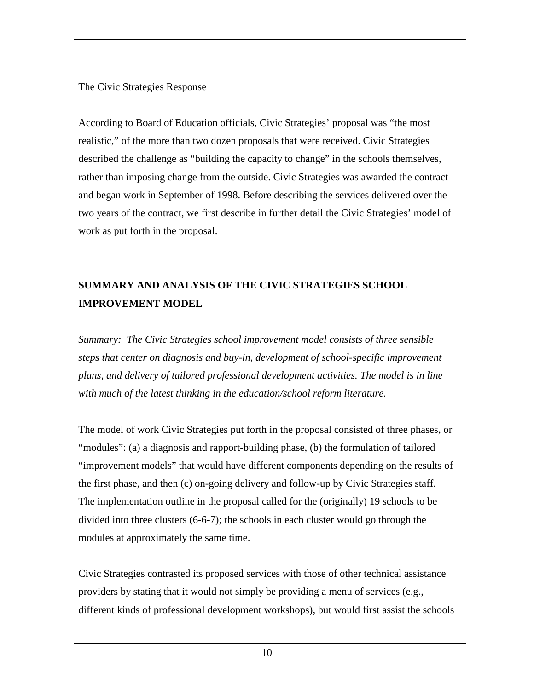#### <span id="page-12-0"></span>The Civic Strategies Response

According to Board of Education officials, Civic Strategies' proposal was "the most realistic," of the more than two dozen proposals that were received. Civic Strategies described the challenge as "building the capacity to change" in the schools themselves, rather than imposing change from the outside. Civic Strategies was awarded the contract and began work in September of 1998. Before describing the services delivered over the two years of the contract, we first describe in further detail the Civic Strategies' model of work as put forth in the proposal.

# **SUMMARY AND ANALYSIS OF THE CIVIC STRATEGIES SCHOOL IMPROVEMENT MODEL**

*Summary: The Civic Strategies school improvement model consists of three sensible steps that center on diagnosis and buy-in, development of school-specific improvement plans, and delivery of tailored professional development activities. The model is in line with much of the latest thinking in the education/school reform literature.* 

The model of work Civic Strategies put forth in the proposal consisted of three phases, or "modules": (a) a diagnosis and rapport-building phase, (b) the formulation of tailored "improvement models" that would have different components depending on the results of the first phase, and then (c) on-going delivery and follow-up by Civic Strategies staff. The implementation outline in the proposal called for the (originally) 19 schools to be divided into three clusters (6-6-7); the schools in each cluster would go through the modules at approximately the same time.

Civic Strategies contrasted its proposed services with those of other technical assistance providers by stating that it would not simply be providing a menu of services (e.g., different kinds of professional development workshops), but would first assist the schools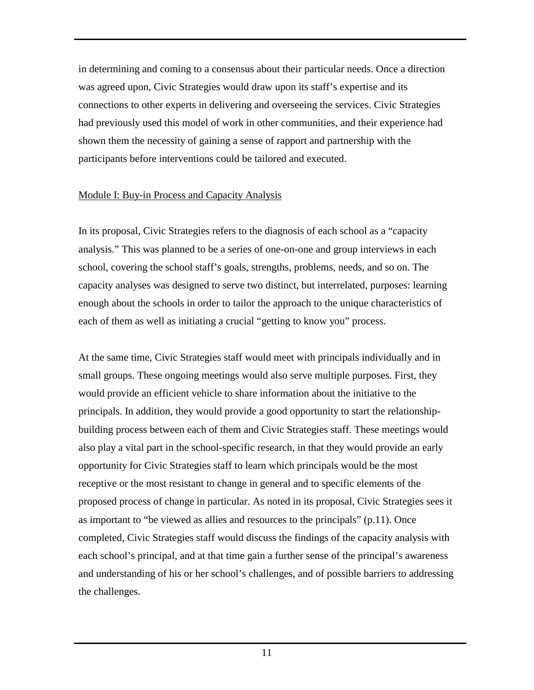<span id="page-13-0"></span>in determining and coming to a consensus about their particular needs. Once a direction was agreed upon, Civic Strategies would draw upon its staff's expertise and its connections to other experts in delivering and overseeing the services. Civic Strategies had previously used this model of work in other communities, and their experience had shown them the necessity of gaining a sense of rapport and partnership with the participants before interventions could be tailored and executed.

### Module I: Buy-in Process and Capacity Analysis

In its proposal, Civic Strategies refers to the diagnosis of each school as a "capacity analysis." This was planned to be a series of one-on-one and group interviews in each school, covering the school staff's goals, strengths, problems, needs, and so on. The capacity analyses was designed to serve two distinct, but interrelated, purposes: learning enough about the schools in order to tailor the approach to the unique characteristics of each of them as well as initiating a crucial "getting to know you" process.

At the same time, Civic Strategies staff would meet with principals individually and in small groups. These ongoing meetings would also serve multiple purposes. First, they would provide an efficient vehicle to share information about the initiative to the principals. In addition, they would provide a good opportunity to start the relationshipbuilding process between each of them and Civic Strategies staff. These meetings would also play a vital part in the school-specific research, in that they would provide an early opportunity for Civic Strategies staff to learn which principals would be the most receptive or the most resistant to change in general and to specific elements of the proposed process of change in particular. As noted in its proposal, Civic Strategies sees it as important to "be viewed as allies and resources to the principals" (p.11). Once completed, Civic Strategies staff would discuss the findings of the capacity analysis with each school's principal, and at that time gain a further sense of the principal's awareness and understanding of his or her school's challenges, and of possible barriers to addressing the challenges.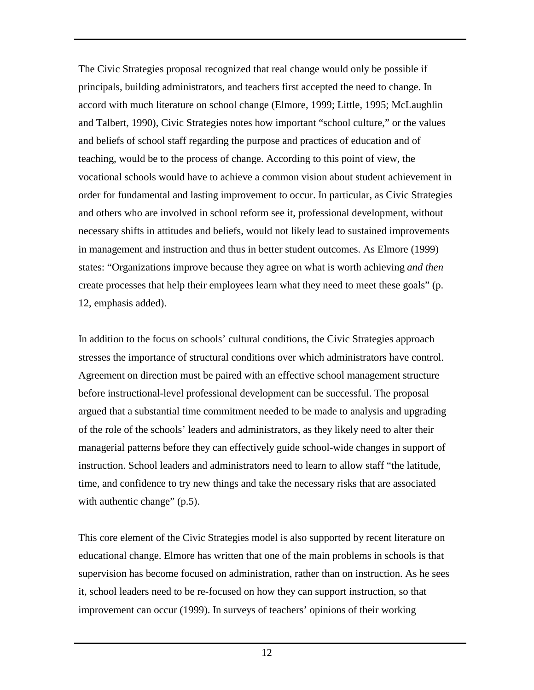The Civic Strategies proposal recognized that real change would only be possible if principals, building administrators, and teachers first accepted the need to change. In accord with much literature on school change (Elmore, 1999; Little, 1995; McLaughlin and Talbert, 1990), Civic Strategies notes how important "school culture," or the values and beliefs of school staff regarding the purpose and practices of education and of teaching, would be to the process of change. According to this point of view, the vocational schools would have to achieve a common vision about student achievement in order for fundamental and lasting improvement to occur. In particular, as Civic Strategies and others who are involved in school reform see it, professional development, without necessary shifts in attitudes and beliefs, would not likely lead to sustained improvements in management and instruction and thus in better student outcomes. As Elmore (1999) states: "Organizations improve because they agree on what is worth achieving *and then* create processes that help their employees learn what they need to meet these goals" (p. 12, emphasis added).

In addition to the focus on schools' cultural conditions, the Civic Strategies approach stresses the importance of structural conditions over which administrators have control. Agreement on direction must be paired with an effective school management structure before instructional-level professional development can be successful. The proposal argued that a substantial time commitment needed to be made to analysis and upgrading of the role of the schools' leaders and administrators, as they likely need to alter their managerial patterns before they can effectively guide school-wide changes in support of instruction. School leaders and administrators need to learn to allow staff "the latitude, time, and confidence to try new things and take the necessary risks that are associated with authentic change" (p.5).

This core element of the Civic Strategies model is also supported by recent literature on educational change. Elmore has written that one of the main problems in schools is that supervision has become focused on administration, rather than on instruction. As he sees it, school leaders need to be re-focused on how they can support instruction, so that improvement can occur (1999). In surveys of teachers' opinions of their working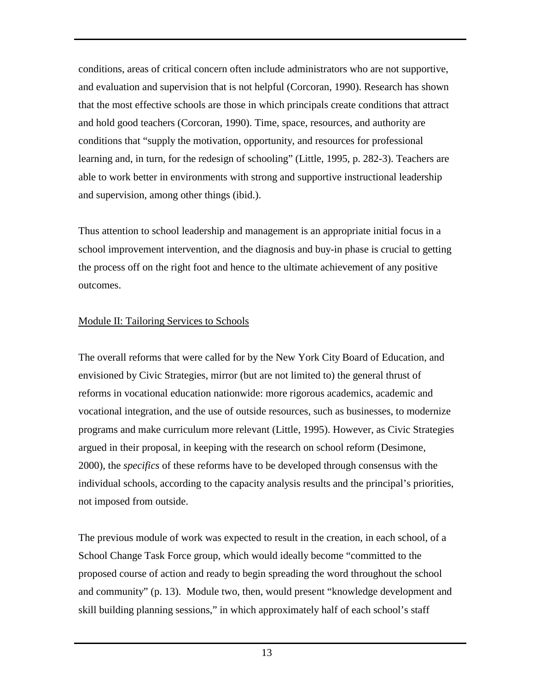<span id="page-15-0"></span>conditions, areas of critical concern often include administrators who are not supportive, and evaluation and supervision that is not helpful (Corcoran, 1990). Research has shown that the most effective schools are those in which principals create conditions that attract and hold good teachers (Corcoran, 1990). Time, space, resources, and authority are conditions that "supply the motivation, opportunity, and resources for professional learning and, in turn, for the redesign of schooling" (Little, 1995, p. 282-3). Teachers are able to work better in environments with strong and supportive instructional leadership and supervision, among other things (ibid.).

Thus attention to school leadership and management is an appropriate initial focus in a school improvement intervention, and the diagnosis and buy-in phase is crucial to getting the process off on the right foot and hence to the ultimate achievement of any positive outcomes.

# Module II: Tailoring Services to Schools

The overall reforms that were called for by the New York City Board of Education, and envisioned by Civic Strategies, mirror (but are not limited to) the general thrust of reforms in vocational education nationwide: more rigorous academics, academic and vocational integration, and the use of outside resources, such as businesses, to modernize programs and make curriculum more relevant (Little, 1995). However, as Civic Strategies argued in their proposal, in keeping with the research on school reform (Desimone, 2000), the *specifics* of these reforms have to be developed through consensus with the individual schools, according to the capacity analysis results and the principal's priorities, not imposed from outside.

The previous module of work was expected to result in the creation, in each school, of a School Change Task Force group, which would ideally become "committed to the proposed course of action and ready to begin spreading the word throughout the school and community" (p. 13). Module two, then, would present "knowledge development and skill building planning sessions," in which approximately half of each school's staff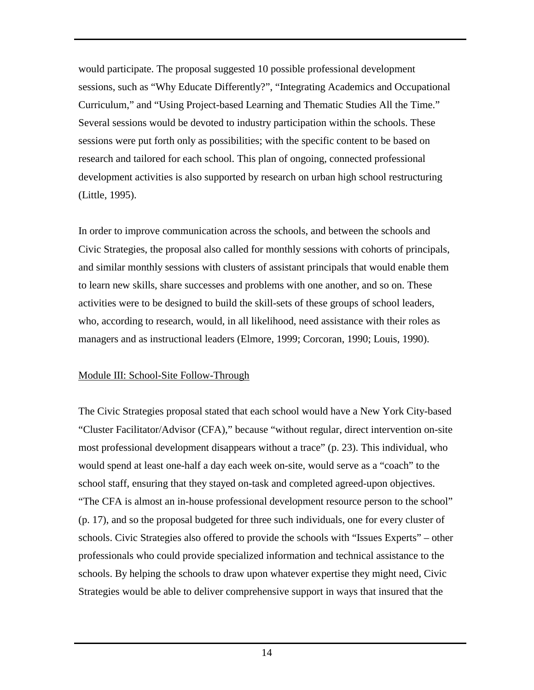<span id="page-16-0"></span>would participate. The proposal suggested 10 possible professional development sessions, such as "Why Educate Differently?", "Integrating Academics and Occupational Curriculum," and "Using Project-based Learning and Thematic Studies All the Time." Several sessions would be devoted to industry participation within the schools. These sessions were put forth only as possibilities; with the specific content to be based on research and tailored for each school. This plan of ongoing, connected professional development activities is also supported by research on urban high school restructuring (Little, 1995).

In order to improve communication across the schools, and between the schools and Civic Strategies, the proposal also called for monthly sessions with cohorts of principals, and similar monthly sessions with clusters of assistant principals that would enable them to learn new skills, share successes and problems with one another, and so on. These activities were to be designed to build the skill-sets of these groups of school leaders, who, according to research, would, in all likelihood, need assistance with their roles as managers and as instructional leaders (Elmore, 1999; Corcoran, 1990; Louis, 1990).

### Module III: School-Site Follow-Through

The Civic Strategies proposal stated that each school would have a New York City-based "Cluster Facilitator/Advisor (CFA)," because "without regular, direct intervention on-site most professional development disappears without a trace" (p. 23). This individual, who would spend at least one-half a day each week on-site, would serve as a "coach" to the school staff, ensuring that they stayed on-task and completed agreed-upon objectives. "The CFA is almost an in-house professional development resource person to the school" (p. 17), and so the proposal budgeted for three such individuals, one for every cluster of schools. Civic Strategies also offered to provide the schools with "Issues Experts" – other professionals who could provide specialized information and technical assistance to the schools. By helping the schools to draw upon whatever expertise they might need, Civic Strategies would be able to deliver comprehensive support in ways that insured that the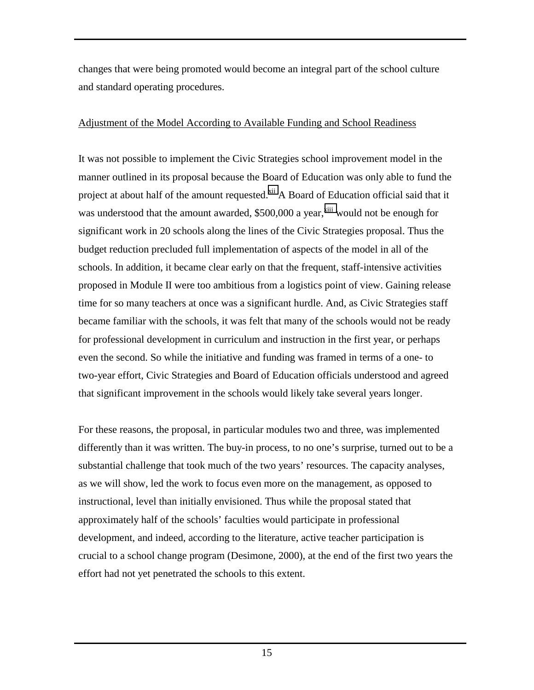<span id="page-17-0"></span>changes that were being promoted would become an integral part of the school culture and standard operating procedures.

#### Adjustment of the Model According to Available Funding and School Readiness

It was not possible to implement the Civic Strategies school improvement model in the manner outlined in its proposal because the Board of Education was only able to fund the project at about half of the amount requested.<sup>xii</sup> A Board of Education official said that it was understood that the amount awarded, \$500,000 a year,<sup>xiii</sup> would not be enough for significant work in 20 schools along the lines of the Civic Strategies proposal. Thus the budget reduction precluded full implementation of aspects of the model in all of the schools. In addition, it became clear early on that the frequent, staff-intensive activities proposed in Module II were too ambitious from a logistics point of view. Gaining release time for so many teachers at once was a significant hurdle. And, as Civic Strategies staff became familiar with the schools, it was felt that many of the schools would not be ready for professional development in curriculum and instruction in the first year, or perhaps even the second. So while the initiative and funding was framed in terms of a one- to two-year effort, Civic Strategies and Board of Education officials understood and agreed that significant improvement in the schools would likely take several years longer.

For these reasons, the proposal, in particular modules two and three, was implemented differently than it was written. The buy-in process, to no one's surprise, turned out to be a substantial challenge that took much of the two years' resources. The capacity analyses, as we will show, led the work to focus even more on the management, as opposed to instructional, level than initially envisioned. Thus while the proposal stated that approximately half of the schools' faculties would participate in professional development, and indeed, according to the literature, active teacher participation is crucial to a school change program (Desimone, 2000), at the end of the first two years the effort had not yet penetrated the schools to this extent.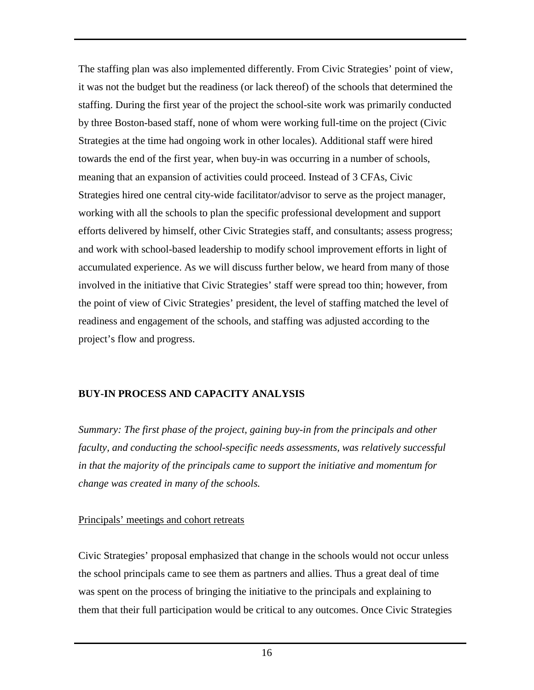<span id="page-18-0"></span>The staffing plan was also implemented differently. From Civic Strategies' point of view, it was not the budget but the readiness (or lack thereof) of the schools that determined the staffing. During the first year of the project the school-site work was primarily conducted by three Boston-based staff, none of whom were working full-time on the project (Civic Strategies at the time had ongoing work in other locales). Additional staff were hired towards the end of the first year, when buy-in was occurring in a number of schools, meaning that an expansion of activities could proceed. Instead of 3 CFAs, Civic Strategies hired one central city-wide facilitator/advisor to serve as the project manager, working with all the schools to plan the specific professional development and support efforts delivered by himself, other Civic Strategies staff, and consultants; assess progress; and work with school-based leadership to modify school improvement efforts in light of accumulated experience. As we will discuss further below, we heard from many of those involved in the initiative that Civic Strategies' staff were spread too thin; however, from the point of view of Civic Strategies' president, the level of staffing matched the level of readiness and engagement of the schools, and staffing was adjusted according to the project's flow and progress.

### **BUY-IN PROCESS AND CAPACITY ANALYSIS**

*Summary: The first phase of the project, gaining buy-in from the principals and other faculty, and conducting the school-specific needs assessments, was relatively successful in that the majority of the principals came to support the initiative and momentum for change was created in many of the schools.* 

### Principals' meetings and cohort retreats

Civic Strategies' proposal emphasized that change in the schools would not occur unless the school principals came to see them as partners and allies. Thus a great deal of time was spent on the process of bringing the initiative to the principals and explaining to them that their full participation would be critical to any outcomes. Once Civic Strategies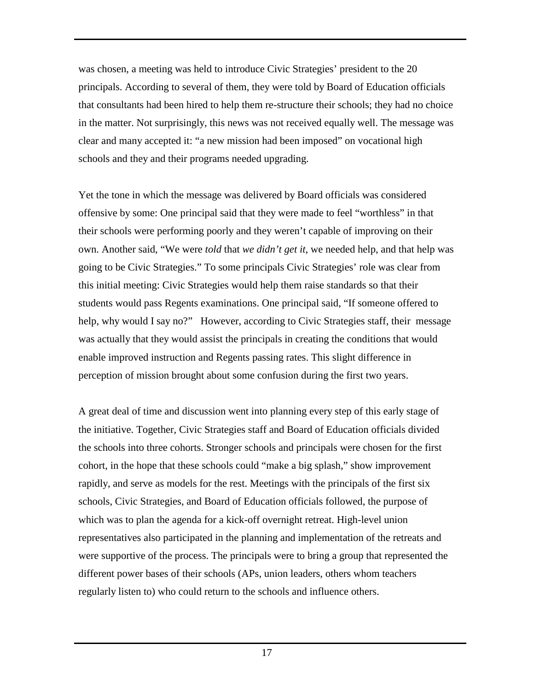was chosen, a meeting was held to introduce Civic Strategies' president to the 20 principals. According to several of them, they were told by Board of Education officials that consultants had been hired to help them re-structure their schools; they had no choice in the matter. Not surprisingly, this news was not received equally well. The message was clear and many accepted it: "a new mission had been imposed" on vocational high schools and they and their programs needed upgrading.

Yet the tone in which the message was delivered by Board officials was considered offensive by some: One principal said that they were made to feel "worthless" in that their schools were performing poorly and they weren't capable of improving on their own. Another said, "We were *told* that *we didn't get it*, we needed help, and that help was going to be Civic Strategies." To some principals Civic Strategies' role was clear from this initial meeting: Civic Strategies would help them raise standards so that their students would pass Regents examinations. One principal said, "If someone offered to help, why would I say no?" However, according to Civic Strategies staff, their message was actually that they would assist the principals in creating the conditions that would enable improved instruction and Regents passing rates. This slight difference in perception of mission brought about some confusion during the first two years.

A great deal of time and discussion went into planning every step of this early stage of the initiative. Together, Civic Strategies staff and Board of Education officials divided the schools into three cohorts. Stronger schools and principals were chosen for the first cohort, in the hope that these schools could "make a big splash," show improvement rapidly, and serve as models for the rest. Meetings with the principals of the first six schools, Civic Strategies, and Board of Education officials followed, the purpose of which was to plan the agenda for a kick-off overnight retreat. High-level union representatives also participated in the planning and implementation of the retreats and were supportive of the process. The principals were to bring a group that represented the different power bases of their schools (APs, union leaders, others whom teachers regularly listen to) who could return to the schools and influence others.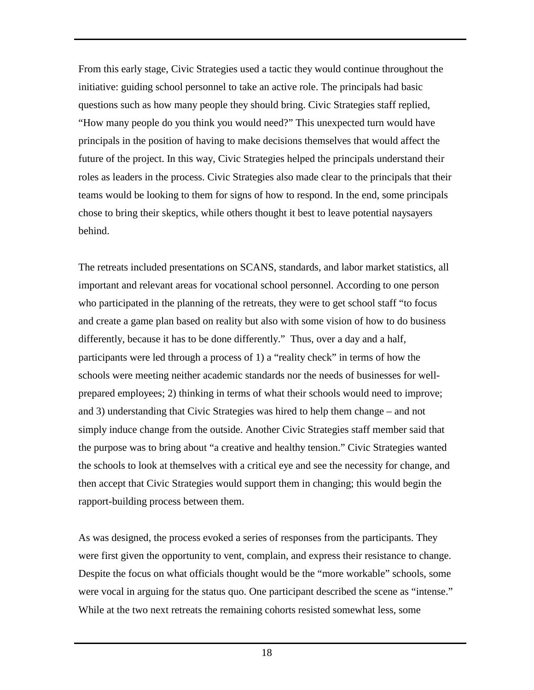From this early stage, Civic Strategies used a tactic they would continue throughout the initiative: guiding school personnel to take an active role. The principals had basic questions such as how many people they should bring. Civic Strategies staff replied, "How many people do you think you would need?" This unexpected turn would have principals in the position of having to make decisions themselves that would affect the future of the project. In this way, Civic Strategies helped the principals understand their roles as leaders in the process. Civic Strategies also made clear to the principals that their teams would be looking to them for signs of how to respond. In the end, some principals chose to bring their skeptics, while others thought it best to leave potential naysayers behind.

The retreats included presentations on SCANS, standards, and labor market statistics, all important and relevant areas for vocational school personnel. According to one person who participated in the planning of the retreats, they were to get school staff "to focus and create a game plan based on reality but also with some vision of how to do business differently, because it has to be done differently." Thus, over a day and a half, participants were led through a process of 1) a "reality check" in terms of how the schools were meeting neither academic standards nor the needs of businesses for wellprepared employees; 2) thinking in terms of what their schools would need to improve; and 3) understanding that Civic Strategies was hired to help them change – and not simply induce change from the outside. Another Civic Strategies staff member said that the purpose was to bring about "a creative and healthy tension." Civic Strategies wanted the schools to look at themselves with a critical eye and see the necessity for change, and then accept that Civic Strategies would support them in changing; this would begin the rapport-building process between them.

As was designed, the process evoked a series of responses from the participants. They were first given the opportunity to vent, complain, and express their resistance to change. Despite the focus on what officials thought would be the "more workable" schools, some were vocal in arguing for the status quo. One participant described the scene as "intense." While at the two next retreats the remaining cohorts resisted somewhat less, some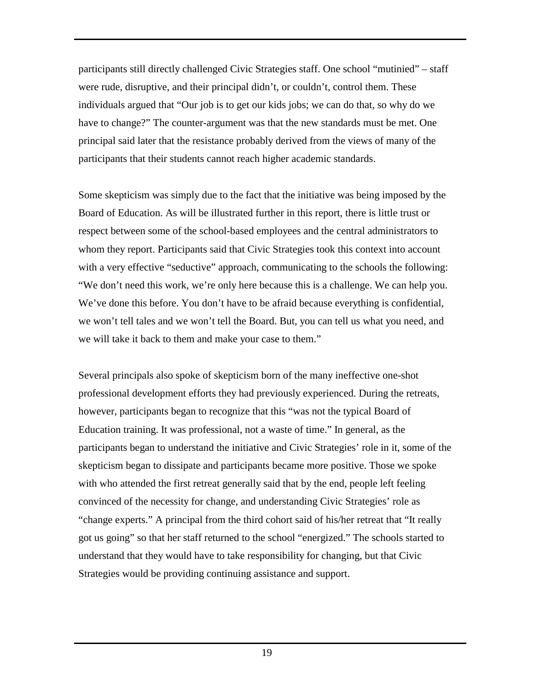participants still directly challenged Civic Strategies staff. One school "mutinied" – staff were rude, disruptive, and their principal didn't, or couldn't, control them. These individuals argued that "Our job is to get our kids jobs; we can do that, so why do we have to change?" The counter-argument was that the new standards must be met. One principal said later that the resistance probably derived from the views of many of the participants that their students cannot reach higher academic standards.

Some skepticism was simply due to the fact that the initiative was being imposed by the Board of Education. As will be illustrated further in this report, there is little trust or respect between some of the school-based employees and the central administrators to whom they report. Participants said that Civic Strategies took this context into account with a very effective "seductive" approach, communicating to the schools the following: "We don't need this work, we're only here because this is a challenge. We can help you. We've done this before. You don't have to be afraid because everything is confidential, we won't tell tales and we won't tell the Board. But, you can tell us what you need, and we will take it back to them and make your case to them."

Several principals also spoke of skepticism born of the many ineffective one-shot professional development efforts they had previously experienced. During the retreats, however, participants began to recognize that this "was not the typical Board of Education training. It was professional, not a waste of time." In general, as the participants began to understand the initiative and Civic Strategies' role in it, some of the skepticism began to dissipate and participants became more positive. Those we spoke with who attended the first retreat generally said that by the end, people left feeling convinced of the necessity for change, and understanding Civic Strategies' role as "change experts." A principal from the third cohort said of his/her retreat that "It really got us going" so that her staff returned to the school "energized." The schools started to understand that they would have to take responsibility for changing, but that Civic Strategies would be providing continuing assistance and support.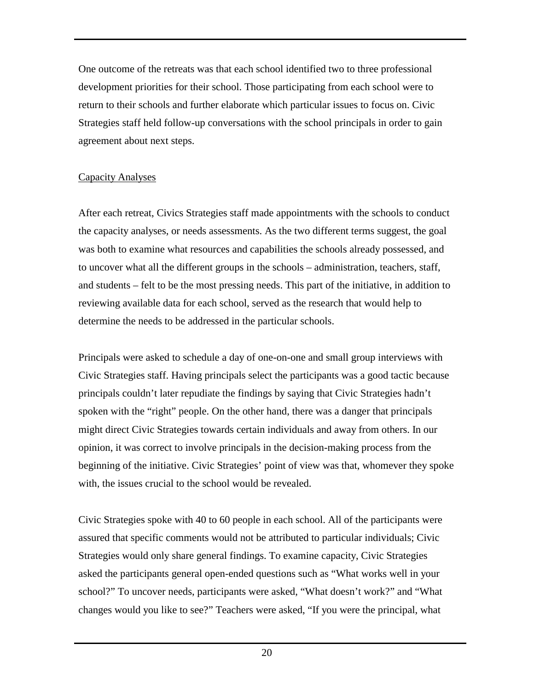<span id="page-22-0"></span>One outcome of the retreats was that each school identified two to three professional development priorities for their school. Those participating from each school were to return to their schools and further elaborate which particular issues to focus on. Civic Strategies staff held follow-up conversations with the school principals in order to gain agreement about next steps.

# Capacity Analyses

After each retreat, Civics Strategies staff made appointments with the schools to conduct the capacity analyses, or needs assessments. As the two different terms suggest, the goal was both to examine what resources and capabilities the schools already possessed, and to uncover what all the different groups in the schools – administration, teachers, staff, and students – felt to be the most pressing needs. This part of the initiative, in addition to reviewing available data for each school, served as the research that would help to determine the needs to be addressed in the particular schools.

Principals were asked to schedule a day of one-on-one and small group interviews with Civic Strategies staff. Having principals select the participants was a good tactic because principals couldn't later repudiate the findings by saying that Civic Strategies hadn't spoken with the "right" people. On the other hand, there was a danger that principals might direct Civic Strategies towards certain individuals and away from others. In our opinion, it was correct to involve principals in the decision-making process from the beginning of the initiative. Civic Strategies' point of view was that, whomever they spoke with, the issues crucial to the school would be revealed.

Civic Strategies spoke with 40 to 60 people in each school. All of the participants were assured that specific comments would not be attributed to particular individuals; Civic Strategies would only share general findings. To examine capacity, Civic Strategies asked the participants general open-ended questions such as "What works well in your school?" To uncover needs, participants were asked, "What doesn't work?" and "What changes would you like to see?" Teachers were asked, "If you were the principal, what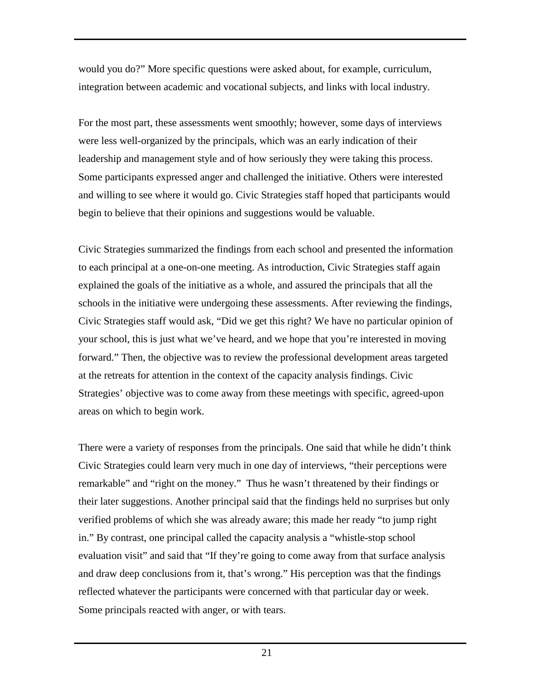would you do?" More specific questions were asked about, for example, curriculum, integration between academic and vocational subjects, and links with local industry.

For the most part, these assessments went smoothly; however, some days of interviews were less well-organized by the principals, which was an early indication of their leadership and management style and of how seriously they were taking this process. Some participants expressed anger and challenged the initiative. Others were interested and willing to see where it would go. Civic Strategies staff hoped that participants would begin to believe that their opinions and suggestions would be valuable.

Civic Strategies summarized the findings from each school and presented the information to each principal at a one-on-one meeting. As introduction, Civic Strategies staff again explained the goals of the initiative as a whole, and assured the principals that all the schools in the initiative were undergoing these assessments. After reviewing the findings, Civic Strategies staff would ask, "Did we get this right? We have no particular opinion of your school, this is just what we've heard, and we hope that you're interested in moving forward." Then, the objective was to review the professional development areas targeted at the retreats for attention in the context of the capacity analysis findings. Civic Strategies' objective was to come away from these meetings with specific, agreed-upon areas on which to begin work.

There were a variety of responses from the principals. One said that while he didn't think Civic Strategies could learn very much in one day of interviews, "their perceptions were remarkable" and "right on the money." Thus he wasn't threatened by their findings or their later suggestions. Another principal said that the findings held no surprises but only verified problems of which she was already aware; this made her ready "to jump right in." By contrast, one principal called the capacity analysis a "whistle-stop school evaluation visit" and said that "If they're going to come away from that surface analysis and draw deep conclusions from it, that's wrong." His perception was that the findings reflected whatever the participants were concerned with that particular day or week. Some principals reacted with anger, or with tears.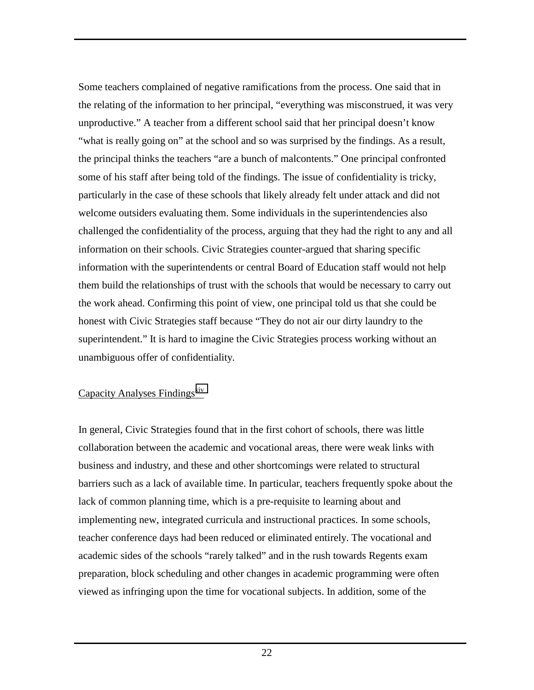<span id="page-24-0"></span>Some teachers complained of negative ramifications from the process. One said that in the relating of the information to her principal, "everything was misconstrued, it was very unproductive." A teacher from a different school said that her principal doesn't know "what is really going on" at the school and so was surprised by the findings. As a result, the principal thinks the teachers "are a bunch of malcontents." One principal confronted some of his staff after being told of the findings. The issue of confidentiality is tricky, particularly in the case of these schools that likely already felt under attack and did not welcome outsiders evaluating them. Some individuals in the superintendencies also challenged the confidentiality of the process, arguing that they had the right to any and all information on their schools. Civic Strategies counter-argued that sharing specific information with the superintendents or central Board of Education staff would not help them build the relationships of trust with the schools that would be necessary to carry out the work ahead. Confirming this point of view, one principal told us that she could be honest with Civic Strategies staff because "They do not air our dirty laundry to the superintendent." It is hard to imagine the Civic Strategies process working without an unambiguous offer of confidentiality.

### Capacity Analyses Findings<sup>[xiv](#page-58-0)</sup>

In general, Civic Strategies found that in the first cohort of schools, there was little collaboration between the academic and vocational areas, there were weak links with business and industry, and these and other shortcomings were related to structural barriers such as a lack of available time. In particular, teachers frequently spoke about the lack of common planning time, which is a pre-requisite to learning about and implementing new, integrated curricula and instructional practices. In some schools, teacher conference days had been reduced or eliminated entirely. The vocational and academic sides of the schools "rarely talked" and in the rush towards Regents exam preparation, block scheduling and other changes in academic programming were often viewed as infringing upon the time for vocational subjects. In addition, some of the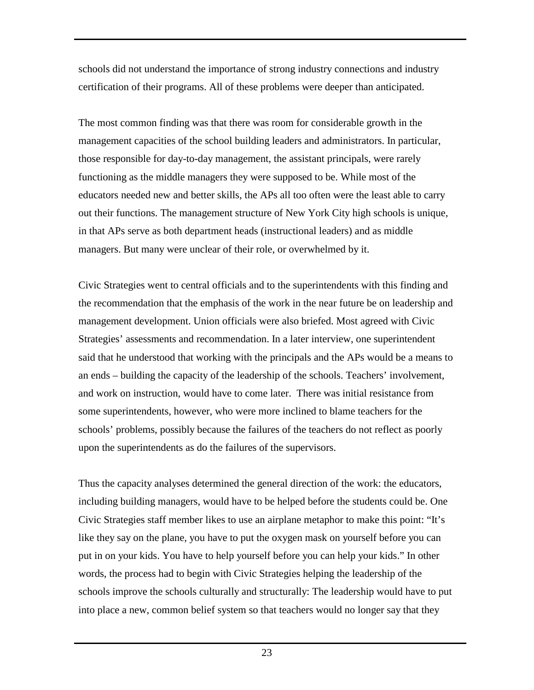schools did not understand the importance of strong industry connections and industry certification of their programs. All of these problems were deeper than anticipated.

The most common finding was that there was room for considerable growth in the management capacities of the school building leaders and administrators. In particular, those responsible for day-to-day management, the assistant principals, were rarely functioning as the middle managers they were supposed to be. While most of the educators needed new and better skills, the APs all too often were the least able to carry out their functions. The management structure of New York City high schools is unique, in that APs serve as both department heads (instructional leaders) and as middle managers. But many were unclear of their role, or overwhelmed by it.

Civic Strategies went to central officials and to the superintendents with this finding and the recommendation that the emphasis of the work in the near future be on leadership and management development. Union officials were also briefed. Most agreed with Civic Strategies' assessments and recommendation. In a later interview, one superintendent said that he understood that working with the principals and the APs would be a means to an ends – building the capacity of the leadership of the schools. Teachers' involvement, and work on instruction, would have to come later. There was initial resistance from some superintendents, however, who were more inclined to blame teachers for the schools' problems, possibly because the failures of the teachers do not reflect as poorly upon the superintendents as do the failures of the supervisors.

Thus the capacity analyses determined the general direction of the work: the educators, including building managers, would have to be helped before the students could be. One Civic Strategies staff member likes to use an airplane metaphor to make this point: "It's like they say on the plane, you have to put the oxygen mask on yourself before you can put in on your kids. You have to help yourself before you can help your kids." In other words, the process had to begin with Civic Strategies helping the leadership of the schools improve the schools culturally and structurally: The leadership would have to put into place a new, common belief system so that teachers would no longer say that they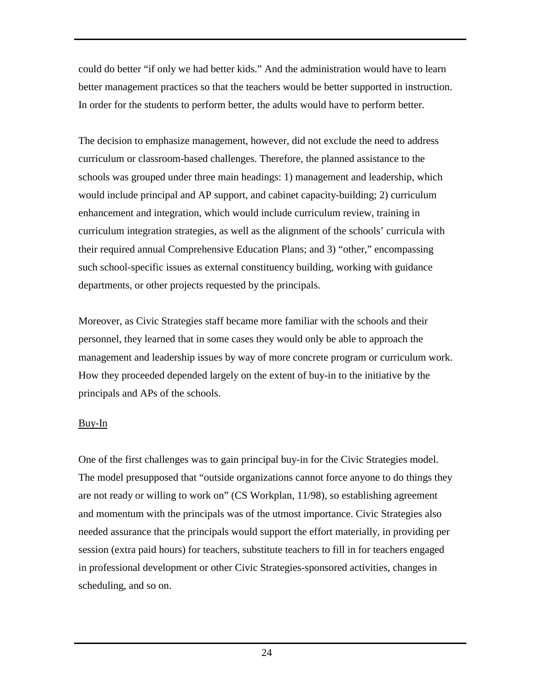<span id="page-26-0"></span>could do better "if only we had better kids." And the administration would have to learn better management practices so that the teachers would be better supported in instruction. In order for the students to perform better, the adults would have to perform better.

The decision to emphasize management, however, did not exclude the need to address curriculum or classroom-based challenges. Therefore, the planned assistance to the schools was grouped under three main headings: 1) management and leadership, which would include principal and AP support, and cabinet capacity-building; 2) curriculum enhancement and integration, which would include curriculum review, training in curriculum integration strategies, as well as the alignment of the schools' curricula with their required annual Comprehensive Education Plans; and 3) "other," encompassing such school-specific issues as external constituency building, working with guidance departments, or other projects requested by the principals.

Moreover, as Civic Strategies staff became more familiar with the schools and their personnel, they learned that in some cases they would only be able to approach the management and leadership issues by way of more concrete program or curriculum work. How they proceeded depended largely on the extent of buy-in to the initiative by the principals and APs of the schools.

### Buy-In

One of the first challenges was to gain principal buy-in for the Civic Strategies model. The model presupposed that "outside organizations cannot force anyone to do things they are not ready or willing to work on" (CS Workplan, 11/98), so establishing agreement and momentum with the principals was of the utmost importance. Civic Strategies also needed assurance that the principals would support the effort materially, in providing per session (extra paid hours) for teachers, substitute teachers to fill in for teachers engaged in professional development or other Civic Strategies-sponsored activities, changes in scheduling, and so on.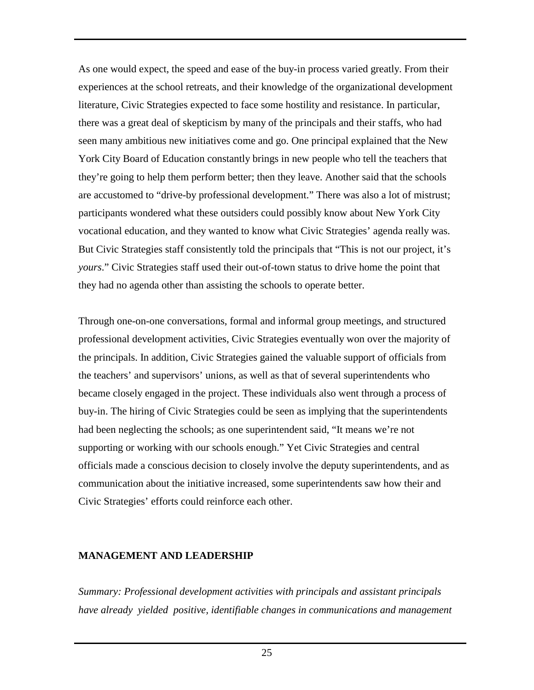<span id="page-27-0"></span>As one would expect, the speed and ease of the buy-in process varied greatly. From their experiences at the school retreats, and their knowledge of the organizational development literature, Civic Strategies expected to face some hostility and resistance. In particular, there was a great deal of skepticism by many of the principals and their staffs, who had seen many ambitious new initiatives come and go. One principal explained that the New York City Board of Education constantly brings in new people who tell the teachers that they're going to help them perform better; then they leave. Another said that the schools are accustomed to "drive-by professional development." There was also a lot of mistrust; participants wondered what these outsiders could possibly know about New York City vocational education, and they wanted to know what Civic Strategies' agenda really was. But Civic Strategies staff consistently told the principals that "This is not our project, it's *yours*." Civic Strategies staff used their out-of-town status to drive home the point that they had no agenda other than assisting the schools to operate better.

Through one-on-one conversations, formal and informal group meetings, and structured professional development activities, Civic Strategies eventually won over the majority of the principals. In addition, Civic Strategies gained the valuable support of officials from the teachers' and supervisors' unions, as well as that of several superintendents who became closely engaged in the project. These individuals also went through a process of buy-in. The hiring of Civic Strategies could be seen as implying that the superintendents had been neglecting the schools; as one superintendent said, "It means we're not supporting or working with our schools enough." Yet Civic Strategies and central officials made a conscious decision to closely involve the deputy superintendents, and as communication about the initiative increased, some superintendents saw how their and Civic Strategies' efforts could reinforce each other.

### **MANAGEMENT AND LEADERSHIP**

*Summary: Professional development activities with principals and assistant principals have already yielded positive, identifiable changes in communications and management*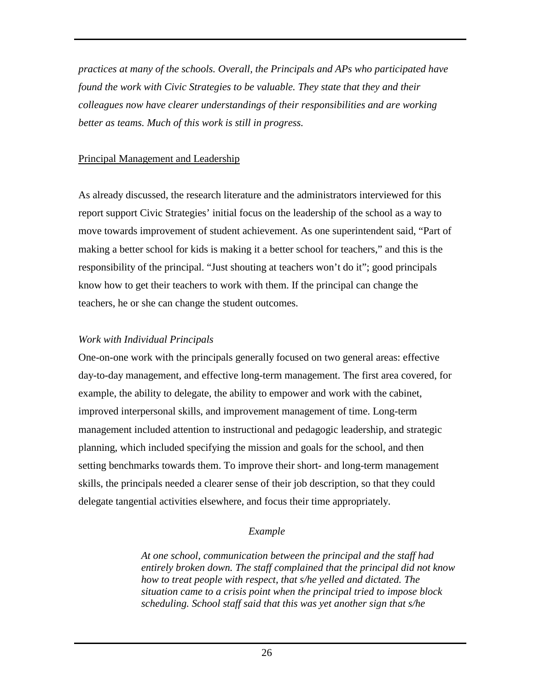<span id="page-28-0"></span>*practices at many of the schools. Overall, the Principals and APs who participated have found the work with Civic Strategies to be valuable. They state that they and their colleagues now have clearer understandings of their responsibilities and are working better as teams. Much of this work is still in progress.* 

# Principal Management and Leadership

As already discussed, the research literature and the administrators interviewed for this report support Civic Strategies' initial focus on the leadership of the school as a way to move towards improvement of student achievement. As one superintendent said, "Part of making a better school for kids is making it a better school for teachers," and this is the responsibility of the principal. "Just shouting at teachers won't do it"; good principals know how to get their teachers to work with them. If the principal can change the teachers, he or she can change the student outcomes.

# *Work with Individual Principals*

One-on-one work with the principals generally focused on two general areas: effective day-to-day management, and effective long-term management. The first area covered, for example, the ability to delegate, the ability to empower and work with the cabinet, improved interpersonal skills, and improvement management of time. Long-term management included attention to instructional and pedagogic leadership, and strategic planning, which included specifying the mission and goals for the school, and then setting benchmarks towards them. To improve their short- and long-term management skills, the principals needed a clearer sense of their job description, so that they could delegate tangential activities elsewhere, and focus their time appropriately.

# *Example*

*At one school, communication between the principal and the staff had entirely broken down. The staff complained that the principal did not know how to treat people with respect, that s/he yelled and dictated. The situation came to a crisis point when the principal tried to impose block scheduling. School staff said that this was yet another sign that s/he*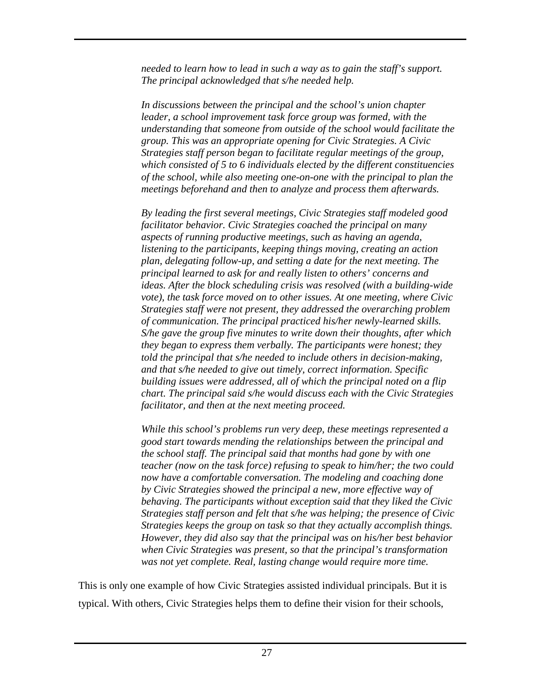*needed to learn how to lead in such a way as to gain the staff's support. The principal acknowledged that s/he needed help.* 

*In discussions between the principal and the school's union chapter leader, a school improvement task force group was formed, with the understanding that someone from outside of the school would facilitate the group. This was an appropriate opening for Civic Strategies. A Civic Strategies staff person began to facilitate regular meetings of the group, which consisted of 5 to 6 individuals elected by the different constituencies of the school, while also meeting one-on-one with the principal to plan the meetings beforehand and then to analyze and process them afterwards.* 

*By leading the first several meetings, Civic Strategies staff modeled good facilitator behavior. Civic Strategies coached the principal on many aspects of running productive meetings, such as having an agenda, listening to the participants, keeping things moving, creating an action plan, delegating follow-up, and setting a date for the next meeting. The principal learned to ask for and really listen to others' concerns and ideas. After the block scheduling crisis was resolved (with a building-wide vote), the task force moved on to other issues. At one meeting, where Civic Strategies staff were not present, they addressed the overarching problem of communication. The principal practiced his/her newly-learned skills. S/he gave the group five minutes to write down their thoughts, after which they began to express them verbally. The participants were honest; they told the principal that s/he needed to include others in decision-making, and that s/he needed to give out timely, correct information. Specific building issues were addressed, all of which the principal noted on a flip chart. The principal said s/he would discuss each with the Civic Strategies facilitator, and then at the next meeting proceed.* 

*While this school's problems run very deep, these meetings represented a good start towards mending the relationships between the principal and the school staff. The principal said that months had gone by with one teacher (now on the task force) refusing to speak to him/her; the two could now have a comfortable conversation. The modeling and coaching done by Civic Strategies showed the principal a new, more effective way of behaving. The participants without exception said that they liked the Civic Strategies staff person and felt that s/he was helping; the presence of Civic Strategies keeps the group on task so that they actually accomplish things. However, they did also say that the principal was on his/her best behavior when Civic Strategies was present, so that the principal's transformation was not yet complete. Real, lasting change would require more time.* 

This is only one example of how Civic Strategies assisted individual principals. But it is typical. With others, Civic Strategies helps them to define their vision for their schools,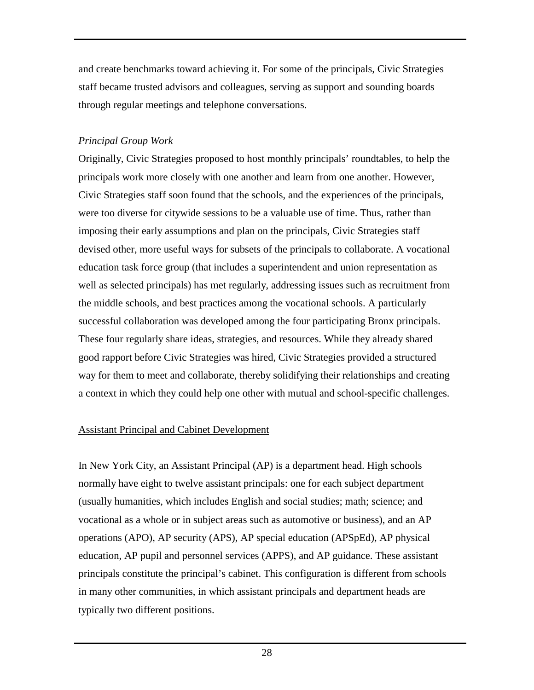<span id="page-30-0"></span>and create benchmarks toward achieving it. For some of the principals, Civic Strategies staff became trusted advisors and colleagues, serving as support and sounding boards through regular meetings and telephone conversations.

# *Principal Group Work*

Originally, Civic Strategies proposed to host monthly principals' roundtables, to help the principals work more closely with one another and learn from one another. However, Civic Strategies staff soon found that the schools, and the experiences of the principals, were too diverse for citywide sessions to be a valuable use of time. Thus, rather than imposing their early assumptions and plan on the principals, Civic Strategies staff devised other, more useful ways for subsets of the principals to collaborate. A vocational education task force group (that includes a superintendent and union representation as well as selected principals) has met regularly, addressing issues such as recruitment from the middle schools, and best practices among the vocational schools. A particularly successful collaboration was developed among the four participating Bronx principals. These four regularly share ideas, strategies, and resources. While they already shared good rapport before Civic Strategies was hired, Civic Strategies provided a structured way for them to meet and collaborate, thereby solidifying their relationships and creating a context in which they could help one other with mutual and school-specific challenges.

# Assistant Principal and Cabinet Development

In New York City, an Assistant Principal (AP) is a department head. High schools normally have eight to twelve assistant principals: one for each subject department (usually humanities, which includes English and social studies; math; science; and vocational as a whole or in subject areas such as automotive or business), and an AP operations (APO), AP security (APS), AP special education (APSpEd), AP physical education, AP pupil and personnel services (APPS), and AP guidance. These assistant principals constitute the principal's cabinet. This configuration is different from schools in many other communities, in which assistant principals and department heads are typically two different positions.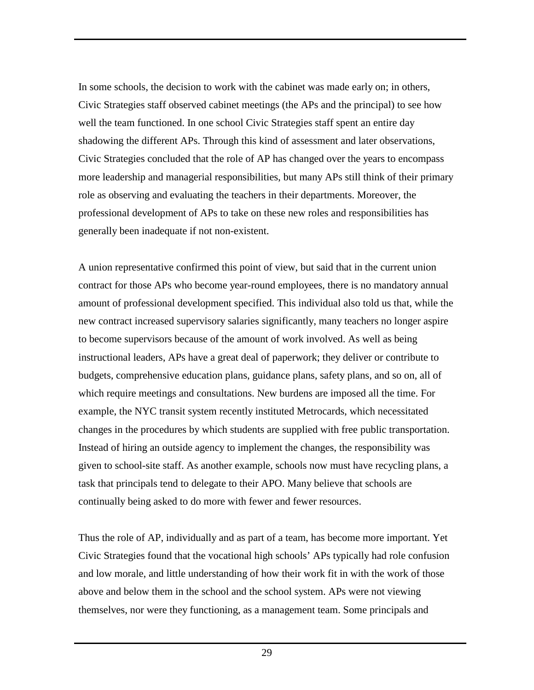In some schools, the decision to work with the cabinet was made early on; in others, Civic Strategies staff observed cabinet meetings (the APs and the principal) to see how well the team functioned. In one school Civic Strategies staff spent an entire day shadowing the different APs. Through this kind of assessment and later observations, Civic Strategies concluded that the role of AP has changed over the years to encompass more leadership and managerial responsibilities, but many APs still think of their primary role as observing and evaluating the teachers in their departments. Moreover, the professional development of APs to take on these new roles and responsibilities has generally been inadequate if not non-existent.

A union representative confirmed this point of view, but said that in the current union contract for those APs who become year-round employees, there is no mandatory annual amount of professional development specified. This individual also told us that, while the new contract increased supervisory salaries significantly, many teachers no longer aspire to become supervisors because of the amount of work involved. As well as being instructional leaders, APs have a great deal of paperwork; they deliver or contribute to budgets, comprehensive education plans, guidance plans, safety plans, and so on, all of which require meetings and consultations. New burdens are imposed all the time. For example, the NYC transit system recently instituted Metrocards, which necessitated changes in the procedures by which students are supplied with free public transportation. Instead of hiring an outside agency to implement the changes, the responsibility was given to school-site staff. As another example, schools now must have recycling plans, a task that principals tend to delegate to their APO. Many believe that schools are continually being asked to do more with fewer and fewer resources.

Thus the role of AP, individually and as part of a team, has become more important. Yet Civic Strategies found that the vocational high schools' APs typically had role confusion and low morale, and little understanding of how their work fit in with the work of those above and below them in the school and the school system. APs were not viewing themselves, nor were they functioning, as a management team. Some principals and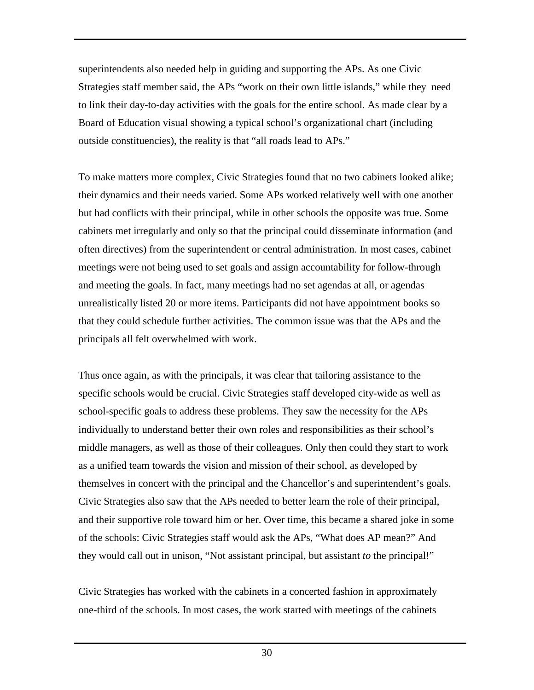superintendents also needed help in guiding and supporting the APs. As one Civic Strategies staff member said, the APs "work on their own little islands," while they need to link their day-to-day activities with the goals for the entire school. As made clear by a Board of Education visual showing a typical school's organizational chart (including outside constituencies), the reality is that "all roads lead to APs."

To make matters more complex, Civic Strategies found that no two cabinets looked alike; their dynamics and their needs varied. Some APs worked relatively well with one another but had conflicts with their principal, while in other schools the opposite was true. Some cabinets met irregularly and only so that the principal could disseminate information (and often directives) from the superintendent or central administration. In most cases, cabinet meetings were not being used to set goals and assign accountability for follow-through and meeting the goals. In fact, many meetings had no set agendas at all, or agendas unrealistically listed 20 or more items. Participants did not have appointment books so that they could schedule further activities. The common issue was that the APs and the principals all felt overwhelmed with work.

Thus once again, as with the principals, it was clear that tailoring assistance to the specific schools would be crucial. Civic Strategies staff developed city-wide as well as school-specific goals to address these problems. They saw the necessity for the APs individually to understand better their own roles and responsibilities as their school's middle managers, as well as those of their colleagues. Only then could they start to work as a unified team towards the vision and mission of their school, as developed by themselves in concert with the principal and the Chancellor's and superintendent's goals. Civic Strategies also saw that the APs needed to better learn the role of their principal, and their supportive role toward him or her. Over time, this became a shared joke in some of the schools: Civic Strategies staff would ask the APs, "What does AP mean?" And they would call out in unison, "Not assistant principal, but assistant *to* the principal!"

Civic Strategies has worked with the cabinets in a concerted fashion in approximately one-third of the schools. In most cases, the work started with meetings of the cabinets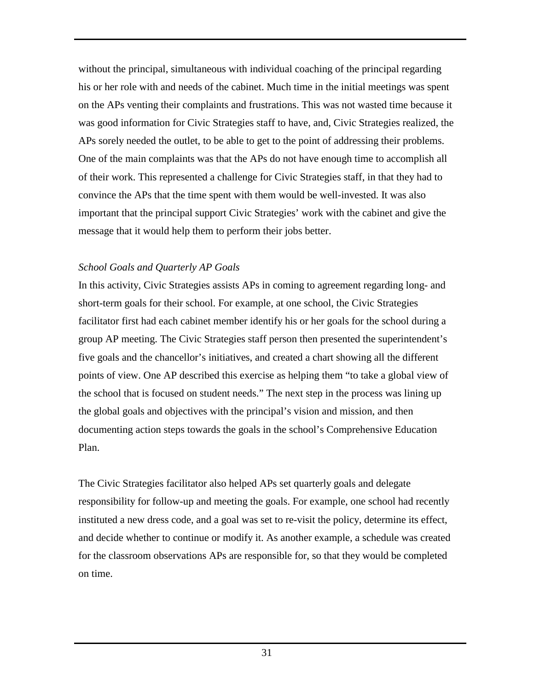without the principal, simultaneous with individual coaching of the principal regarding his or her role with and needs of the cabinet. Much time in the initial meetings was spent on the APs venting their complaints and frustrations. This was not wasted time because it was good information for Civic Strategies staff to have, and, Civic Strategies realized, the APs sorely needed the outlet, to be able to get to the point of addressing their problems. One of the main complaints was that the APs do not have enough time to accomplish all of their work. This represented a challenge for Civic Strategies staff, in that they had to convince the APs that the time spent with them would be well-invested. It was also important that the principal support Civic Strategies' work with the cabinet and give the message that it would help them to perform their jobs better.

# *School Goals and Quarterly AP Goals*

In this activity, Civic Strategies assists APs in coming to agreement regarding long- and short-term goals for their school. For example, at one school, the Civic Strategies facilitator first had each cabinet member identify his or her goals for the school during a group AP meeting. The Civic Strategies staff person then presented the superintendent's five goals and the chancellor's initiatives, and created a chart showing all the different points of view. One AP described this exercise as helping them "to take a global view of the school that is focused on student needs." The next step in the process was lining up the global goals and objectives with the principal's vision and mission, and then documenting action steps towards the goals in the school's Comprehensive Education Plan.

The Civic Strategies facilitator also helped APs set quarterly goals and delegate responsibility for follow-up and meeting the goals. For example, one school had recently instituted a new dress code, and a goal was set to re-visit the policy, determine its effect, and decide whether to continue or modify it. As another example, a schedule was created for the classroom observations APs are responsible for, so that they would be completed on time.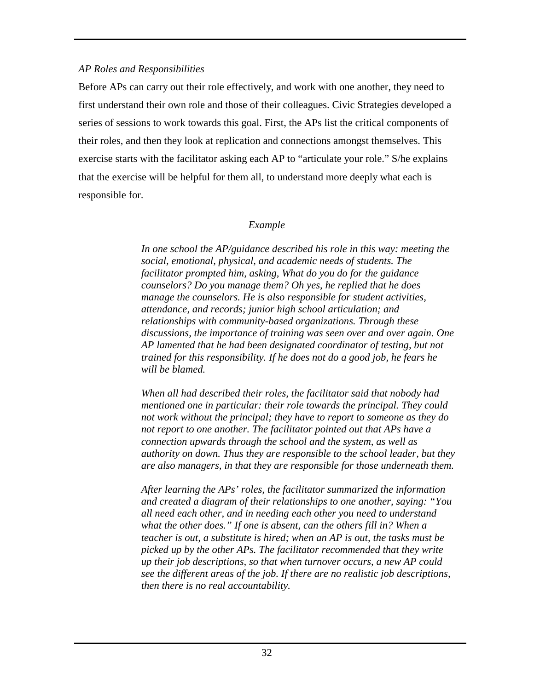# *AP Roles and Responsibilities*

Before APs can carry out their role effectively, and work with one another, they need to first understand their own role and those of their colleagues. Civic Strategies developed a series of sessions to work towards this goal. First, the APs list the critical components of their roles, and then they look at replication and connections amongst themselves. This exercise starts with the facilitator asking each AP to "articulate your role." S/he explains that the exercise will be helpful for them all, to understand more deeply what each is responsible for.

# *Example*

*In one school the AP/guidance described his role in this way: meeting the social, emotional, physical, and academic needs of students. The facilitator prompted him, asking, What do you do for the guidance counselors? Do you manage them? Oh yes, he replied that he does manage the counselors. He is also responsible for student activities, attendance, and records; junior high school articulation; and relationships with community-based organizations. Through these discussions, the importance of training was seen over and over again. One AP lamented that he had been designated coordinator of testing, but not trained for this responsibility. If he does not do a good job, he fears he will be blamed.* 

*When all had described their roles, the facilitator said that nobody had mentioned one in particular: their role towards the principal. They could not work without the principal; they have to report to someone as they do not report to one another. The facilitator pointed out that APs have a connection upwards through the school and the system, as well as authority on down. Thus they are responsible to the school leader, but they are also managers, in that they are responsible for those underneath them.* 

*After learning the APs' roles, the facilitator summarized the information and created a diagram of their relationships to one another, saying: "You all need each other, and in needing each other you need to understand what the other does." If one is absent, can the others fill in? When a teacher is out, a substitute is hired; when an AP is out, the tasks must be picked up by the other APs. The facilitator recommended that they write up their job descriptions, so that when turnover occurs, a new AP could see the different areas of the job. If there are no realistic job descriptions, then there is no real accountability.*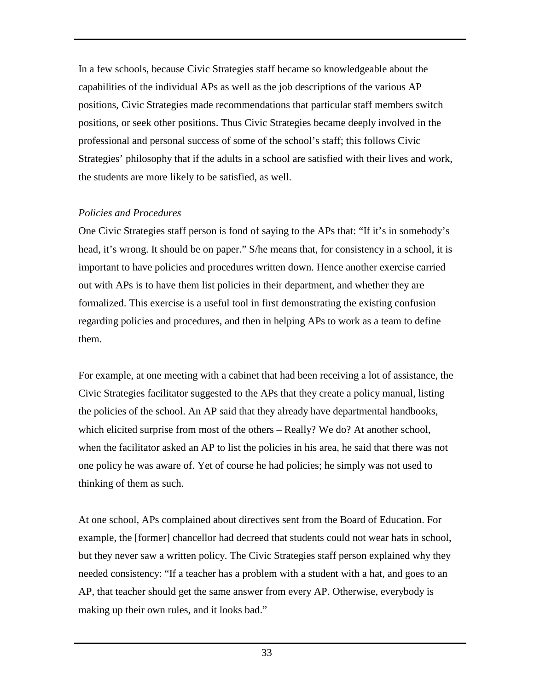In a few schools, because Civic Strategies staff became so knowledgeable about the capabilities of the individual APs as well as the job descriptions of the various AP positions, Civic Strategies made recommendations that particular staff members switch positions, or seek other positions. Thus Civic Strategies became deeply involved in the professional and personal success of some of the school's staff; this follows Civic Strategies' philosophy that if the adults in a school are satisfied with their lives and work, the students are more likely to be satisfied, as well.

# *Policies and Procedures*

One Civic Strategies staff person is fond of saying to the APs that: "If it's in somebody's head, it's wrong. It should be on paper." S/he means that, for consistency in a school, it is important to have policies and procedures written down. Hence another exercise carried out with APs is to have them list policies in their department, and whether they are formalized. This exercise is a useful tool in first demonstrating the existing confusion regarding policies and procedures, and then in helping APs to work as a team to define them.

For example, at one meeting with a cabinet that had been receiving a lot of assistance, the Civic Strategies facilitator suggested to the APs that they create a policy manual, listing the policies of the school. An AP said that they already have departmental handbooks, which elicited surprise from most of the others – Really? We do? At another school, when the facilitator asked an AP to list the policies in his area, he said that there was not one policy he was aware of. Yet of course he had policies; he simply was not used to thinking of them as such.

At one school, APs complained about directives sent from the Board of Education. For example, the [former] chancellor had decreed that students could not wear hats in school, but they never saw a written policy. The Civic Strategies staff person explained why they needed consistency: "If a teacher has a problem with a student with a hat, and goes to an AP, that teacher should get the same answer from every AP. Otherwise, everybody is making up their own rules, and it looks bad."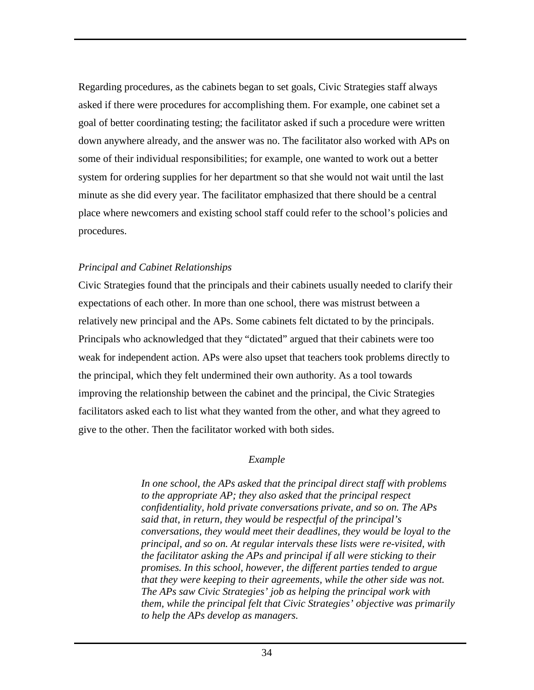Regarding procedures, as the cabinets began to set goals, Civic Strategies staff always asked if there were procedures for accomplishing them. For example, one cabinet set a goal of better coordinating testing; the facilitator asked if such a procedure were written down anywhere already, and the answer was no. The facilitator also worked with APs on some of their individual responsibilities; for example, one wanted to work out a better system for ordering supplies for her department so that she would not wait until the last minute as she did every year. The facilitator emphasized that there should be a central place where newcomers and existing school staff could refer to the school's policies and procedures.

### *Principal and Cabinet Relationships*

Civic Strategies found that the principals and their cabinets usually needed to clarify their expectations of each other. In more than one school, there was mistrust between a relatively new principal and the APs. Some cabinets felt dictated to by the principals. Principals who acknowledged that they "dictated" argued that their cabinets were too weak for independent action. APs were also upset that teachers took problems directly to the principal, which they felt undermined their own authority. As a tool towards improving the relationship between the cabinet and the principal, the Civic Strategies facilitators asked each to list what they wanted from the other, and what they agreed to give to the other. Then the facilitator worked with both sides.

### *Example*

*In one school, the APs asked that the principal direct staff with problems to the appropriate AP; they also asked that the principal respect confidentiality, hold private conversations private, and so on. The APs said that, in return, they would be respectful of the principal's conversations, they would meet their deadlines, they would be loyal to the principal, and so on. At regular intervals these lists were re-visited, with the facilitator asking the APs and principal if all were sticking to their promises. In this school, however, the different parties tended to argue that they were keeping to their agreements, while the other side was not. The APs saw Civic Strategies' job as helping the principal work with them, while the principal felt that Civic Strategies' objective was primarily to help the APs develop as managers.*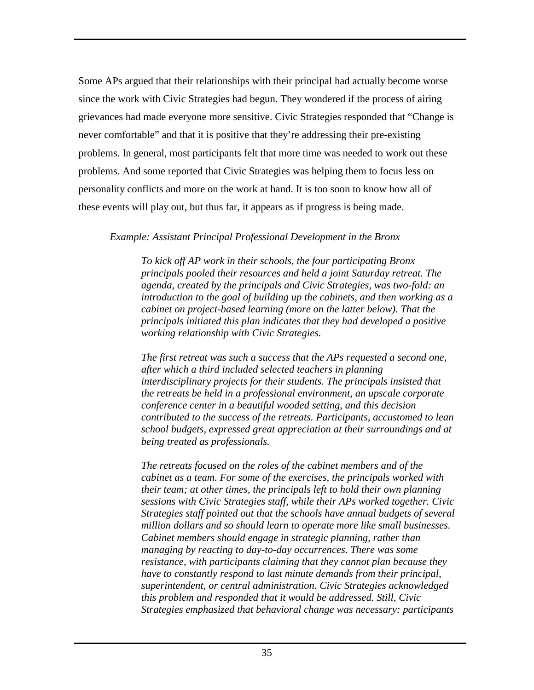Some APs argued that their relationships with their principal had actually become worse since the work with Civic Strategies had begun. They wondered if the process of airing grievances had made everyone more sensitive. Civic Strategies responded that "Change is never comfortable" and that it is positive that they're addressing their pre-existing problems. In general, most participants felt that more time was needed to work out these problems. And some reported that Civic Strategies was helping them to focus less on personality conflicts and more on the work at hand. It is too soon to know how all of these events will play out, but thus far, it appears as if progress is being made.

# *Example: Assistant Principal Professional Development in the Bronx*

*To kick off AP work in their schools, the four participating Bronx principals pooled their resources and held a joint Saturday retreat. The agenda, created by the principals and Civic Strategies, was two-fold: an introduction to the goal of building up the cabinets, and then working as a cabinet on project-based learning (more on the latter below). That the principals initiated this plan indicates that they had developed a positive working relationship with Civic Strategies.* 

*The first retreat was such a success that the APs requested a second one, after which a third included selected teachers in planning interdisciplinary projects for their students. The principals insisted that the retreats be held in a professional environment, an upscale corporate conference center in a beautiful wooded setting, and this decision contributed to the success of the retreats. Participants, accustomed to lean school budgets, expressed great appreciation at their surroundings and at being treated as professionals.* 

*The retreats focused on the roles of the cabinet members and of the cabinet as a team. For some of the exercises, the principals worked with their team; at other times, the principals left to hold their own planning sessions with Civic Strategies staff, while their APs worked together. Civic Strategies staff pointed out that the schools have annual budgets of several million dollars and so should learn to operate more like small businesses. Cabinet members should engage in strategic planning, rather than managing by reacting to day-to-day occurrences. There was some resistance, with participants claiming that they cannot plan because they have to constantly respond to last minute demands from their principal, superintendent, or central administration. Civic Strategies acknowledged this problem and responded that it would be addressed. Still, Civic Strategies emphasized that behavioral change was necessary: participants*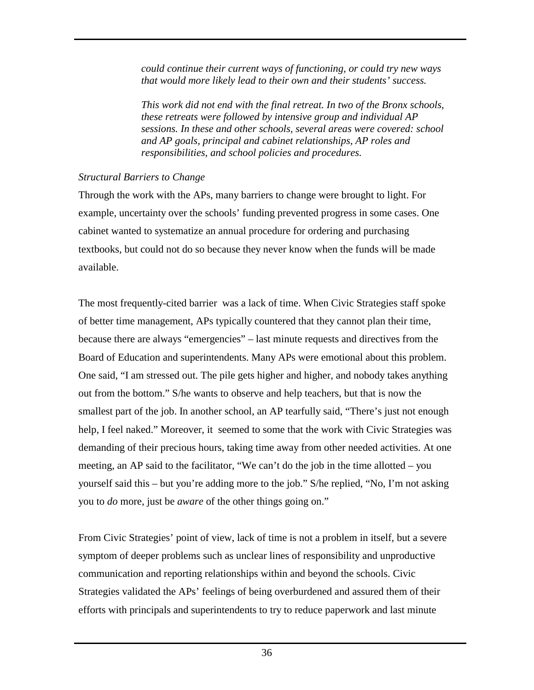*could continue their current ways of functioning, or could try new ways that would more likely lead to their own and their students' success.* 

*This work did not end with the final retreat. In two of the Bronx schools, these retreats were followed by intensive group and individual AP sessions. In these and other schools, several areas were covered: school and AP goals, principal and cabinet relationships, AP roles and responsibilities, and school policies and procedures.* 

# *Structural Barriers to Change*

Through the work with the APs, many barriers to change were brought to light. For example, uncertainty over the schools' funding prevented progress in some cases. One cabinet wanted to systematize an annual procedure for ordering and purchasing textbooks, but could not do so because they never know when the funds will be made available.

The most frequently-cited barrier was a lack of time. When Civic Strategies staff spoke of better time management, APs typically countered that they cannot plan their time, because there are always "emergencies" – last minute requests and directives from the Board of Education and superintendents. Many APs were emotional about this problem. One said, "I am stressed out. The pile gets higher and higher, and nobody takes anything out from the bottom." S/he wants to observe and help teachers, but that is now the smallest part of the job. In another school, an AP tearfully said, "There's just not enough help, I feel naked." Moreover, it seemed to some that the work with Civic Strategies was demanding of their precious hours, taking time away from other needed activities. At one meeting, an AP said to the facilitator, "We can't do the job in the time allotted – you yourself said this – but you're adding more to the job." S/he replied, "No, I'm not asking you to *do* more, just be *aware* of the other things going on."

From Civic Strategies' point of view, lack of time is not a problem in itself, but a severe symptom of deeper problems such as unclear lines of responsibility and unproductive communication and reporting relationships within and beyond the schools. Civic Strategies validated the APs' feelings of being overburdened and assured them of their efforts with principals and superintendents to try to reduce paperwork and last minute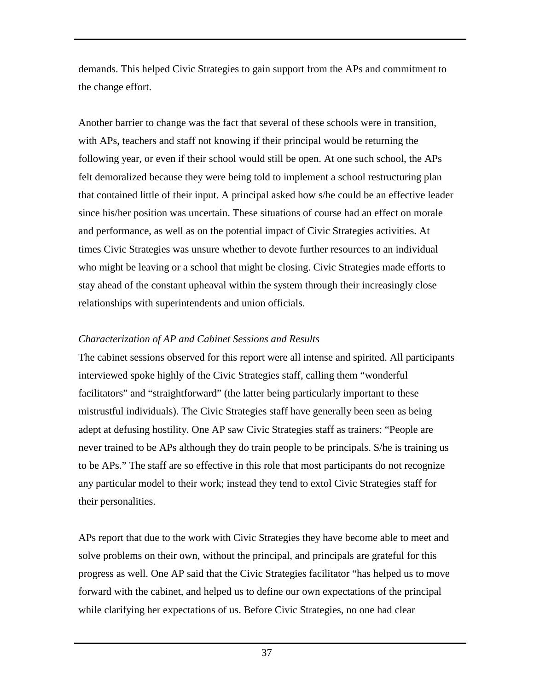demands. This helped Civic Strategies to gain support from the APs and commitment to the change effort.

Another barrier to change was the fact that several of these schools were in transition, with APs, teachers and staff not knowing if their principal would be returning the following year, or even if their school would still be open. At one such school, the APs felt demoralized because they were being told to implement a school restructuring plan that contained little of their input. A principal asked how s/he could be an effective leader since his/her position was uncertain. These situations of course had an effect on morale and performance, as well as on the potential impact of Civic Strategies activities. At times Civic Strategies was unsure whether to devote further resources to an individual who might be leaving or a school that might be closing. Civic Strategies made efforts to stay ahead of the constant upheaval within the system through their increasingly close relationships with superintendents and union officials.

# *Characterization of AP and Cabinet Sessions and Results*

The cabinet sessions observed for this report were all intense and spirited. All participants interviewed spoke highly of the Civic Strategies staff, calling them "wonderful facilitators" and "straightforward" (the latter being particularly important to these mistrustful individuals). The Civic Strategies staff have generally been seen as being adept at defusing hostility. One AP saw Civic Strategies staff as trainers: "People are never trained to be APs although they do train people to be principals. S/he is training us to be APs." The staff are so effective in this role that most participants do not recognize any particular model to their work; instead they tend to extol Civic Strategies staff for their personalities.

APs report that due to the work with Civic Strategies they have become able to meet and solve problems on their own, without the principal, and principals are grateful for this progress as well. One AP said that the Civic Strategies facilitator "has helped us to move forward with the cabinet, and helped us to define our own expectations of the principal while clarifying her expectations of us. Before Civic Strategies, no one had clear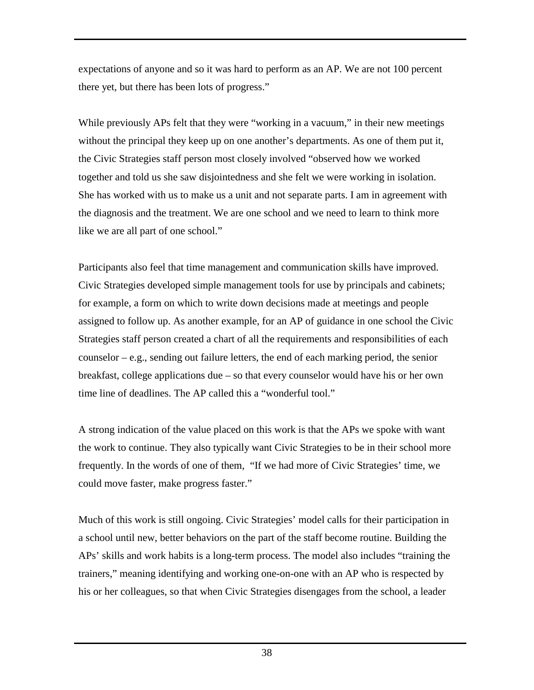expectations of anyone and so it was hard to perform as an AP. We are not 100 percent there yet, but there has been lots of progress."

While previously APs felt that they were "working in a vacuum," in their new meetings without the principal they keep up on one another's departments. As one of them put it, the Civic Strategies staff person most closely involved "observed how we worked together and told us she saw disjointedness and she felt we were working in isolation. She has worked with us to make us a unit and not separate parts. I am in agreement with the diagnosis and the treatment. We are one school and we need to learn to think more like we are all part of one school."

Participants also feel that time management and communication skills have improved. Civic Strategies developed simple management tools for use by principals and cabinets; for example, a form on which to write down decisions made at meetings and people assigned to follow up. As another example, for an AP of guidance in one school the Civic Strategies staff person created a chart of all the requirements and responsibilities of each counselor – e.g., sending out failure letters, the end of each marking period, the senior breakfast, college applications due – so that every counselor would have his or her own time line of deadlines. The AP called this a "wonderful tool."

A strong indication of the value placed on this work is that the APs we spoke with want the work to continue. They also typically want Civic Strategies to be in their school more frequently. In the words of one of them, "If we had more of Civic Strategies' time, we could move faster, make progress faster."

Much of this work is still ongoing. Civic Strategies' model calls for their participation in a school until new, better behaviors on the part of the staff become routine. Building the APs' skills and work habits is a long-term process. The model also includes "training the trainers," meaning identifying and working one-on-one with an AP who is respected by his or her colleagues, so that when Civic Strategies disengages from the school, a leader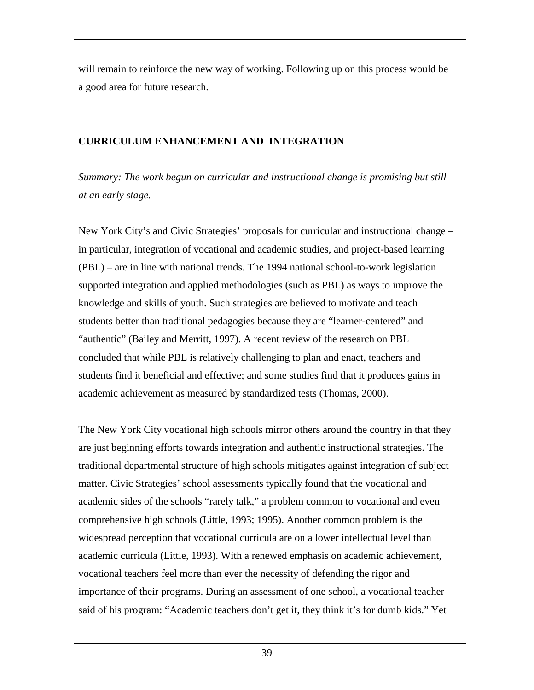<span id="page-41-0"></span>will remain to reinforce the new way of working. Following up on this process would be a good area for future research.

# **CURRICULUM ENHANCEMENT AND INTEGRATION**

*Summary: The work begun on curricular and instructional change is promising but still at an early stage.* 

New York City's and Civic Strategies' proposals for curricular and instructional change – in particular, integration of vocational and academic studies, and project-based learning (PBL) – are in line with national trends. The 1994 national school-to-work legislation supported integration and applied methodologies (such as PBL) as ways to improve the knowledge and skills of youth. Such strategies are believed to motivate and teach students better than traditional pedagogies because they are "learner-centered" and "authentic" (Bailey and Merritt, 1997). A recent review of the research on PBL concluded that while PBL is relatively challenging to plan and enact, teachers and students find it beneficial and effective; and some studies find that it produces gains in academic achievement as measured by standardized tests (Thomas, 2000).

The New York City vocational high schools mirror others around the country in that they are just beginning efforts towards integration and authentic instructional strategies. The traditional departmental structure of high schools mitigates against integration of subject matter. Civic Strategies' school assessments typically found that the vocational and academic sides of the schools "rarely talk," a problem common to vocational and even comprehensive high schools (Little, 1993; 1995). Another common problem is the widespread perception that vocational curricula are on a lower intellectual level than academic curricula (Little, 1993). With a renewed emphasis on academic achievement, vocational teachers feel more than ever the necessity of defending the rigor and importance of their programs. During an assessment of one school, a vocational teacher said of his program: "Academic teachers don't get it, they think it's for dumb kids." Yet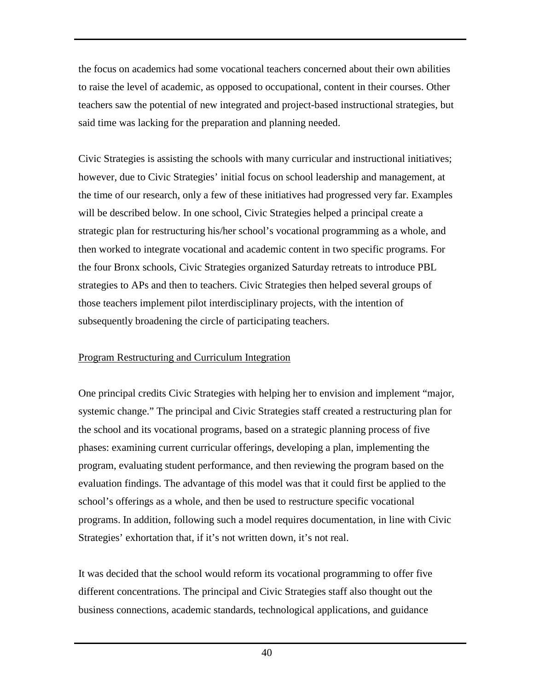<span id="page-42-0"></span>the focus on academics had some vocational teachers concerned about their own abilities to raise the level of academic, as opposed to occupational, content in their courses. Other teachers saw the potential of new integrated and project-based instructional strategies, but said time was lacking for the preparation and planning needed.

Civic Strategies is assisting the schools with many curricular and instructional initiatives; however, due to Civic Strategies' initial focus on school leadership and management, at the time of our research, only a few of these initiatives had progressed very far. Examples will be described below. In one school, Civic Strategies helped a principal create a strategic plan for restructuring his/her school's vocational programming as a whole, and then worked to integrate vocational and academic content in two specific programs. For the four Bronx schools, Civic Strategies organized Saturday retreats to introduce PBL strategies to APs and then to teachers. Civic Strategies then helped several groups of those teachers implement pilot interdisciplinary projects, with the intention of subsequently broadening the circle of participating teachers.

# Program Restructuring and Curriculum Integration

One principal credits Civic Strategies with helping her to envision and implement "major, systemic change." The principal and Civic Strategies staff created a restructuring plan for the school and its vocational programs, based on a strategic planning process of five phases: examining current curricular offerings, developing a plan, implementing the program, evaluating student performance, and then reviewing the program based on the evaluation findings. The advantage of this model was that it could first be applied to the school's offerings as a whole, and then be used to restructure specific vocational programs. In addition, following such a model requires documentation, in line with Civic Strategies' exhortation that, if it's not written down, it's not real.

It was decided that the school would reform its vocational programming to offer five different concentrations. The principal and Civic Strategies staff also thought out the business connections, academic standards, technological applications, and guidance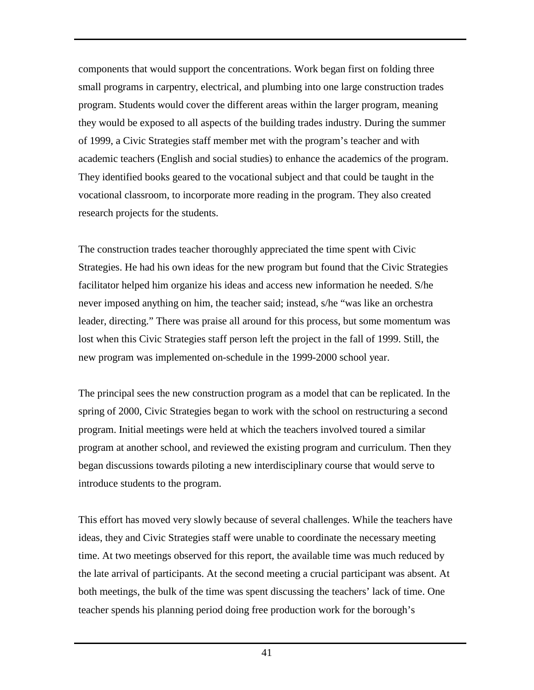components that would support the concentrations. Work began first on folding three small programs in carpentry, electrical, and plumbing into one large construction trades program. Students would cover the different areas within the larger program, meaning they would be exposed to all aspects of the building trades industry. During the summer of 1999, a Civic Strategies staff member met with the program's teacher and with academic teachers (English and social studies) to enhance the academics of the program. They identified books geared to the vocational subject and that could be taught in the vocational classroom, to incorporate more reading in the program. They also created research projects for the students.

The construction trades teacher thoroughly appreciated the time spent with Civic Strategies. He had his own ideas for the new program but found that the Civic Strategies facilitator helped him organize his ideas and access new information he needed. S/he never imposed anything on him, the teacher said; instead, s/he "was like an orchestra leader, directing." There was praise all around for this process, but some momentum was lost when this Civic Strategies staff person left the project in the fall of 1999. Still, the new program was implemented on-schedule in the 1999-2000 school year.

The principal sees the new construction program as a model that can be replicated. In the spring of 2000, Civic Strategies began to work with the school on restructuring a second program. Initial meetings were held at which the teachers involved toured a similar program at another school, and reviewed the existing program and curriculum. Then they began discussions towards piloting a new interdisciplinary course that would serve to introduce students to the program.

This effort has moved very slowly because of several challenges. While the teachers have ideas, they and Civic Strategies staff were unable to coordinate the necessary meeting time. At two meetings observed for this report, the available time was much reduced by the late arrival of participants. At the second meeting a crucial participant was absent. At both meetings, the bulk of the time was spent discussing the teachers' lack of time. One teacher spends his planning period doing free production work for the borough's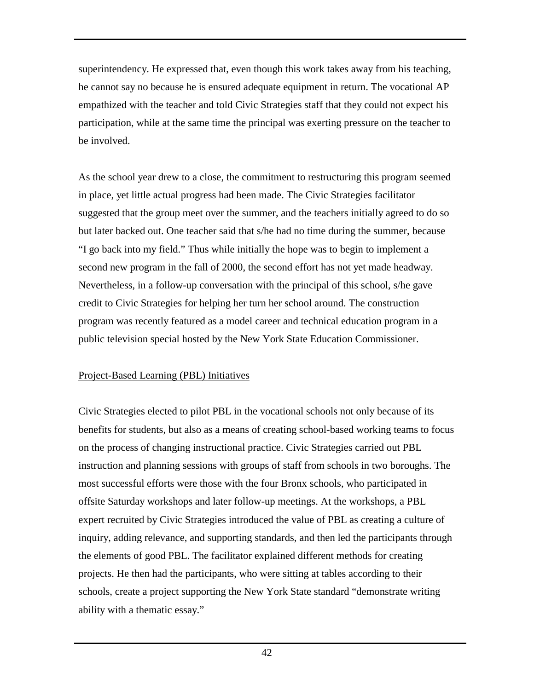<span id="page-44-0"></span>superintendency. He expressed that, even though this work takes away from his teaching, he cannot say no because he is ensured adequate equipment in return. The vocational AP empathized with the teacher and told Civic Strategies staff that they could not expect his participation, while at the same time the principal was exerting pressure on the teacher to be involved.

As the school year drew to a close, the commitment to restructuring this program seemed in place, yet little actual progress had been made. The Civic Strategies facilitator suggested that the group meet over the summer, and the teachers initially agreed to do so but later backed out. One teacher said that s/he had no time during the summer, because "I go back into my field." Thus while initially the hope was to begin to implement a second new program in the fall of 2000, the second effort has not yet made headway. Nevertheless, in a follow-up conversation with the principal of this school, s/he gave credit to Civic Strategies for helping her turn her school around. The construction program was recently featured as a model career and technical education program in a public television special hosted by the New York State Education Commissioner.

### Project-Based Learning (PBL) Initiatives

Civic Strategies elected to pilot PBL in the vocational schools not only because of its benefits for students, but also as a means of creating school-based working teams to focus on the process of changing instructional practice. Civic Strategies carried out PBL instruction and planning sessions with groups of staff from schools in two boroughs. The most successful efforts were those with the four Bronx schools, who participated in offsite Saturday workshops and later follow-up meetings. At the workshops, a PBL expert recruited by Civic Strategies introduced the value of PBL as creating a culture of inquiry, adding relevance, and supporting standards, and then led the participants through the elements of good PBL. The facilitator explained different methods for creating projects. He then had the participants, who were sitting at tables according to their schools, create a project supporting the New York State standard "demonstrate writing ability with a thematic essay."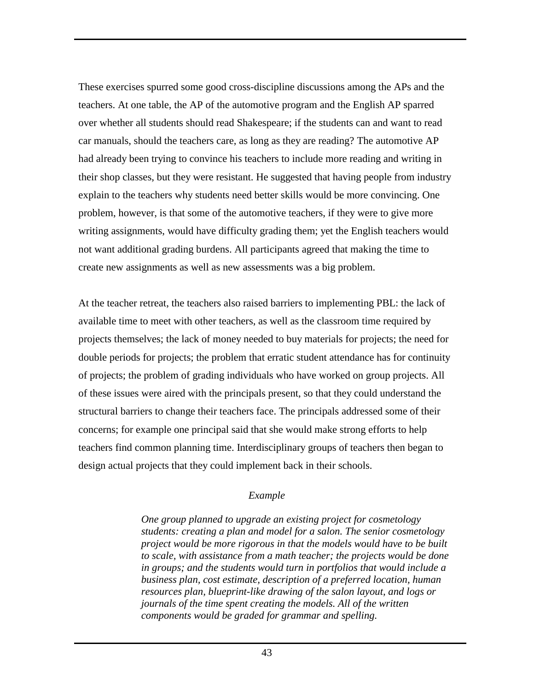These exercises spurred some good cross-discipline discussions among the APs and the teachers. At one table, the AP of the automotive program and the English AP sparred over whether all students should read Shakespeare; if the students can and want to read car manuals, should the teachers care, as long as they are reading? The automotive AP had already been trying to convince his teachers to include more reading and writing in their shop classes, but they were resistant. He suggested that having people from industry explain to the teachers why students need better skills would be more convincing. One problem, however, is that some of the automotive teachers, if they were to give more writing assignments, would have difficulty grading them; yet the English teachers would not want additional grading burdens. All participants agreed that making the time to create new assignments as well as new assessments was a big problem.

At the teacher retreat, the teachers also raised barriers to implementing PBL: the lack of available time to meet with other teachers, as well as the classroom time required by projects themselves; the lack of money needed to buy materials for projects; the need for double periods for projects; the problem that erratic student attendance has for continuity of projects; the problem of grading individuals who have worked on group projects. All of these issues were aired with the principals present, so that they could understand the structural barriers to change their teachers face. The principals addressed some of their concerns; for example one principal said that she would make strong efforts to help teachers find common planning time. Interdisciplinary groups of teachers then began to design actual projects that they could implement back in their schools.

### *Example*

*One group planned to upgrade an existing project for cosmetology students: creating a plan and model for a salon. The senior cosmetology project would be more rigorous in that the models would have to be built to scale, with assistance from a math teacher; the projects would be done in groups; and the students would turn in portfolios that would include a business plan, cost estimate, description of a preferred location, human resources plan, blueprint-like drawing of the salon layout, and logs or journals of the time spent creating the models. All of the written components would be graded for grammar and spelling.*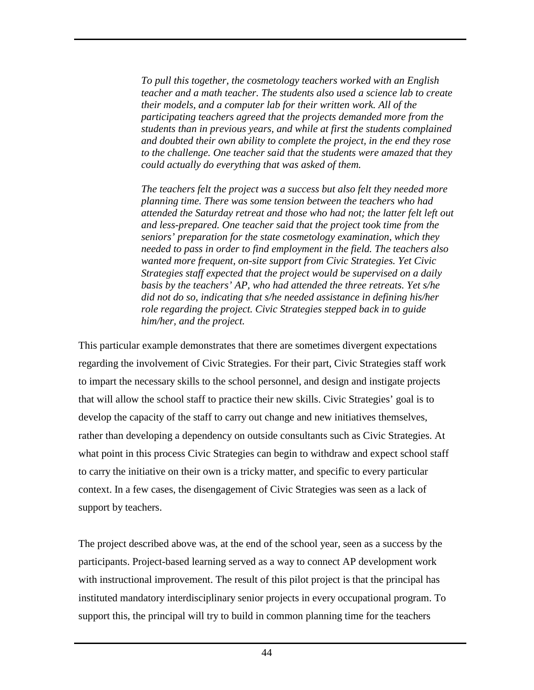*To pull this together, the cosmetology teachers worked with an English teacher and a math teacher. The students also used a science lab to create their models, and a computer lab for their written work. All of the participating teachers agreed that the projects demanded more from the students than in previous years, and while at first the students complained and doubted their own ability to complete the project, in the end they rose to the challenge. One teacher said that the students were amazed that they could actually do everything that was asked of them.* 

*The teachers felt the project was a success but also felt they needed more planning time. There was some tension between the teachers who had attended the Saturday retreat and those who had not; the latter felt left out and less-prepared. One teacher said that the project took time from the seniors' preparation for the state cosmetology examination, which they needed to pass in order to find employment in the field. The teachers also wanted more frequent, on-site support from Civic Strategies. Yet Civic Strategies staff expected that the project would be supervised on a daily basis by the teachers' AP, who had attended the three retreats. Yet s/he did not do so, indicating that s/he needed assistance in defining his/her role regarding the project. Civic Strategies stepped back in to guide him/her, and the project.* 

This particular example demonstrates that there are sometimes divergent expectations regarding the involvement of Civic Strategies. For their part, Civic Strategies staff work to impart the necessary skills to the school personnel, and design and instigate projects that will allow the school staff to practice their new skills. Civic Strategies' goal is to develop the capacity of the staff to carry out change and new initiatives themselves, rather than developing a dependency on outside consultants such as Civic Strategies. At what point in this process Civic Strategies can begin to withdraw and expect school staff to carry the initiative on their own is a tricky matter, and specific to every particular context. In a few cases, the disengagement of Civic Strategies was seen as a lack of support by teachers.

The project described above was, at the end of the school year, seen as a success by the participants. Project-based learning served as a way to connect AP development work with instructional improvement. The result of this pilot project is that the principal has instituted mandatory interdisciplinary senior projects in every occupational program. To support this, the principal will try to build in common planning time for the teachers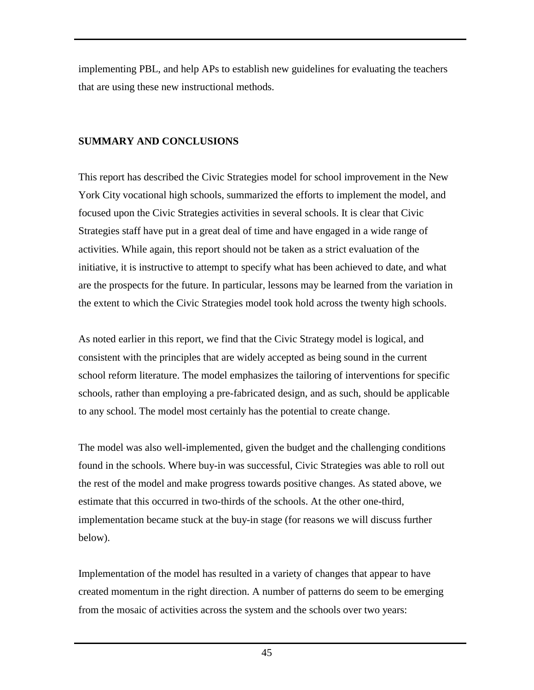<span id="page-47-0"></span>implementing PBL, and help APs to establish new guidelines for evaluating the teachers that are using these new instructional methods.

# **SUMMARY AND CONCLUSIONS**

This report has described the Civic Strategies model for school improvement in the New York City vocational high schools, summarized the efforts to implement the model, and focused upon the Civic Strategies activities in several schools. It is clear that Civic Strategies staff have put in a great deal of time and have engaged in a wide range of activities. While again, this report should not be taken as a strict evaluation of the initiative, it is instructive to attempt to specify what has been achieved to date, and what are the prospects for the future. In particular, lessons may be learned from the variation in the extent to which the Civic Strategies model took hold across the twenty high schools.

As noted earlier in this report, we find that the Civic Strategy model is logical, and consistent with the principles that are widely accepted as being sound in the current school reform literature. The model emphasizes the tailoring of interventions for specific schools, rather than employing a pre-fabricated design, and as such, should be applicable to any school. The model most certainly has the potential to create change.

The model was also well-implemented, given the budget and the challenging conditions found in the schools. Where buy-in was successful, Civic Strategies was able to roll out the rest of the model and make progress towards positive changes. As stated above, we estimate that this occurred in two-thirds of the schools. At the other one-third, implementation became stuck at the buy-in stage (for reasons we will discuss further below).

Implementation of the model has resulted in a variety of changes that appear to have created momentum in the right direction. A number of patterns do seem to be emerging from the mosaic of activities across the system and the schools over two years: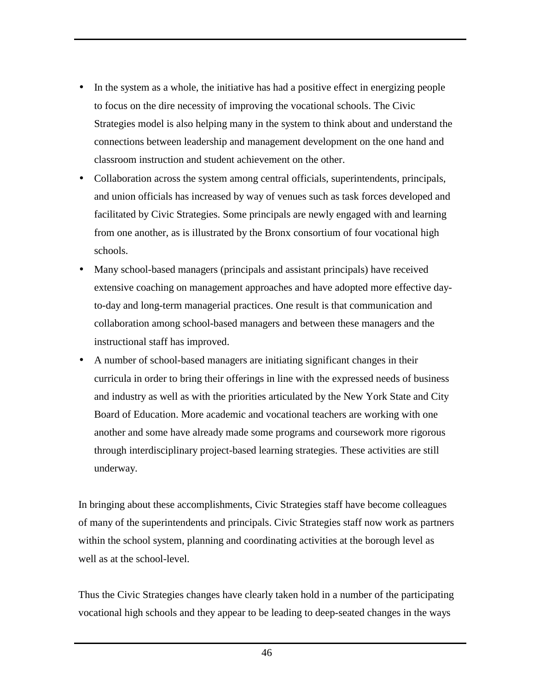- In the system as a whole, the initiative has had a positive effect in energizing people to focus on the dire necessity of improving the vocational schools. The Civic Strategies model is also helping many in the system to think about and understand the connections between leadership and management development on the one hand and classroom instruction and student achievement on the other.
- Collaboration across the system among central officials, superintendents, principals, and union officials has increased by way of venues such as task forces developed and facilitated by Civic Strategies. Some principals are newly engaged with and learning from one another, as is illustrated by the Bronx consortium of four vocational high schools.
- Many school-based managers (principals and assistant principals) have received extensive coaching on management approaches and have adopted more effective dayto-day and long-term managerial practices. One result is that communication and collaboration among school-based managers and between these managers and the instructional staff has improved.
- A number of school-based managers are initiating significant changes in their curricula in order to bring their offerings in line with the expressed needs of business and industry as well as with the priorities articulated by the New York State and City Board of Education. More academic and vocational teachers are working with one another and some have already made some programs and coursework more rigorous through interdisciplinary project-based learning strategies. These activities are still underway.

In bringing about these accomplishments, Civic Strategies staff have become colleagues of many of the superintendents and principals. Civic Strategies staff now work as partners within the school system, planning and coordinating activities at the borough level as well as at the school-level.

Thus the Civic Strategies changes have clearly taken hold in a number of the participating vocational high schools and they appear to be leading to deep-seated changes in the ways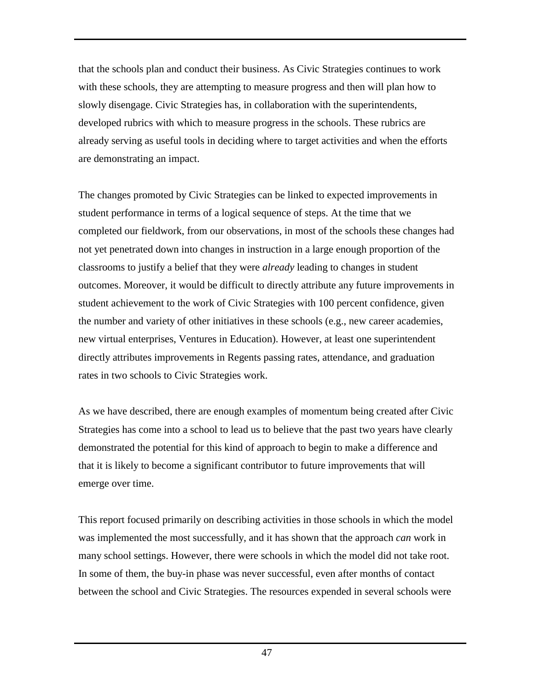that the schools plan and conduct their business. As Civic Strategies continues to work with these schools, they are attempting to measure progress and then will plan how to slowly disengage. Civic Strategies has, in collaboration with the superintendents, developed rubrics with which to measure progress in the schools. These rubrics are already serving as useful tools in deciding where to target activities and when the efforts are demonstrating an impact.

The changes promoted by Civic Strategies can be linked to expected improvements in student performance in terms of a logical sequence of steps. At the time that we completed our fieldwork, from our observations, in most of the schools these changes had not yet penetrated down into changes in instruction in a large enough proportion of the classrooms to justify a belief that they were *already* leading to changes in student outcomes. Moreover, it would be difficult to directly attribute any future improvements in student achievement to the work of Civic Strategies with 100 percent confidence, given the number and variety of other initiatives in these schools (e.g., new career academies, new virtual enterprises, Ventures in Education). However, at least one superintendent directly attributes improvements in Regents passing rates, attendance, and graduation rates in two schools to Civic Strategies work.

As we have described, there are enough examples of momentum being created after Civic Strategies has come into a school to lead us to believe that the past two years have clearly demonstrated the potential for this kind of approach to begin to make a difference and that it is likely to become a significant contributor to future improvements that will emerge over time.

This report focused primarily on describing activities in those schools in which the model was implemented the most successfully, and it has shown that the approach *can* work in many school settings. However, there were schools in which the model did not take root. In some of them, the buy-in phase was never successful, even after months of contact between the school and Civic Strategies. The resources expended in several schools were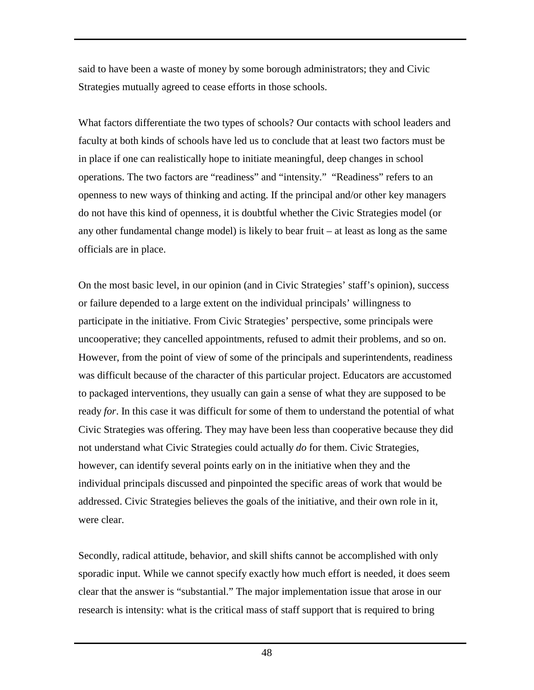said to have been a waste of money by some borough administrators; they and Civic Strategies mutually agreed to cease efforts in those schools.

What factors differentiate the two types of schools? Our contacts with school leaders and faculty at both kinds of schools have led us to conclude that at least two factors must be in place if one can realistically hope to initiate meaningful, deep changes in school operations. The two factors are "readiness" and "intensity." "Readiness" refers to an openness to new ways of thinking and acting. If the principal and/or other key managers do not have this kind of openness, it is doubtful whether the Civic Strategies model (or any other fundamental change model) is likely to bear fruit – at least as long as the same officials are in place.

On the most basic level, in our opinion (and in Civic Strategies' staff's opinion), success or failure depended to a large extent on the individual principals' willingness to participate in the initiative. From Civic Strategies' perspective, some principals were uncooperative; they cancelled appointments, refused to admit their problems, and so on. However, from the point of view of some of the principals and superintendents, readiness was difficult because of the character of this particular project. Educators are accustomed to packaged interventions, they usually can gain a sense of what they are supposed to be ready *for*. In this case it was difficult for some of them to understand the potential of what Civic Strategies was offering. They may have been less than cooperative because they did not understand what Civic Strategies could actually *do* for them. Civic Strategies, however, can identify several points early on in the initiative when they and the individual principals discussed and pinpointed the specific areas of work that would be addressed. Civic Strategies believes the goals of the initiative, and their own role in it, were clear.

Secondly, radical attitude, behavior, and skill shifts cannot be accomplished with only sporadic input. While we cannot specify exactly how much effort is needed, it does seem clear that the answer is "substantial." The major implementation issue that arose in our research is intensity: what is the critical mass of staff support that is required to bring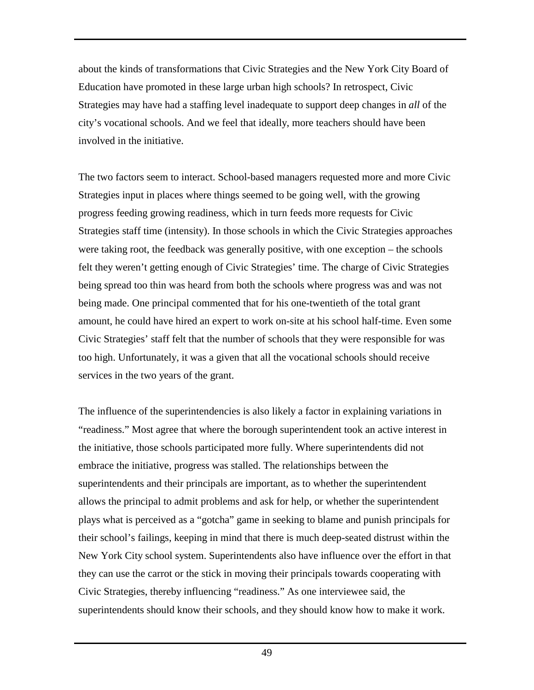about the kinds of transformations that Civic Strategies and the New York City Board of Education have promoted in these large urban high schools? In retrospect, Civic Strategies may have had a staffing level inadequate to support deep changes in *all* of the city's vocational schools. And we feel that ideally, more teachers should have been involved in the initiative.

The two factors seem to interact. School-based managers requested more and more Civic Strategies input in places where things seemed to be going well, with the growing progress feeding growing readiness, which in turn feeds more requests for Civic Strategies staff time (intensity). In those schools in which the Civic Strategies approaches were taking root, the feedback was generally positive, with one exception – the schools felt they weren't getting enough of Civic Strategies' time. The charge of Civic Strategies being spread too thin was heard from both the schools where progress was and was not being made. One principal commented that for his one-twentieth of the total grant amount, he could have hired an expert to work on-site at his school half-time. Even some Civic Strategies' staff felt that the number of schools that they were responsible for was too high. Unfortunately, it was a given that all the vocational schools should receive services in the two years of the grant.

The influence of the superintendencies is also likely a factor in explaining variations in "readiness." Most agree that where the borough superintendent took an active interest in the initiative, those schools participated more fully. Where superintendents did not embrace the initiative, progress was stalled. The relationships between the superintendents and their principals are important, as to whether the superintendent allows the principal to admit problems and ask for help, or whether the superintendent plays what is perceived as a "gotcha" game in seeking to blame and punish principals for their school's failings, keeping in mind that there is much deep-seated distrust within the New York City school system. Superintendents also have influence over the effort in that they can use the carrot or the stick in moving their principals towards cooperating with Civic Strategies, thereby influencing "readiness." As one interviewee said, the superintendents should know their schools, and they should know how to make it work.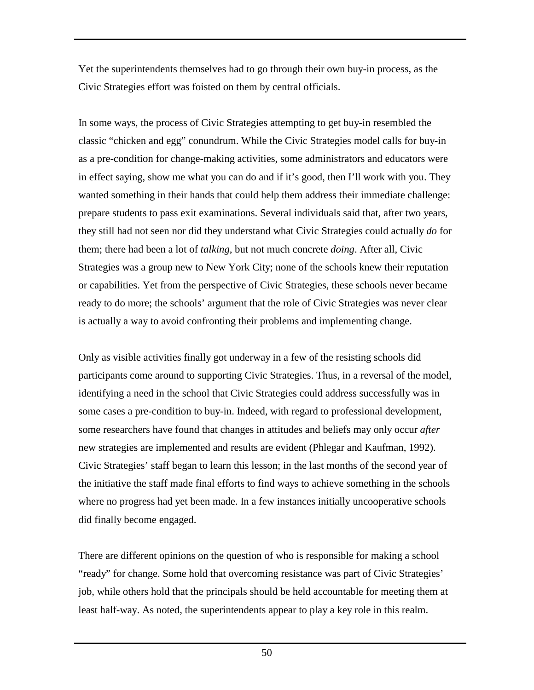Yet the superintendents themselves had to go through their own buy-in process, as the Civic Strategies effort was foisted on them by central officials.

In some ways, the process of Civic Strategies attempting to get buy-in resembled the classic "chicken and egg" conundrum. While the Civic Strategies model calls for buy-in as a pre-condition for change-making activities, some administrators and educators were in effect saying, show me what you can do and if it's good, then I'll work with you. They wanted something in their hands that could help them address their immediate challenge: prepare students to pass exit examinations. Several individuals said that, after two years, they still had not seen nor did they understand what Civic Strategies could actually *do* for them; there had been a lot of *talking*, but not much concrete *doing*. After all, Civic Strategies was a group new to New York City; none of the schools knew their reputation or capabilities. Yet from the perspective of Civic Strategies, these schools never became ready to do more; the schools' argument that the role of Civic Strategies was never clear is actually a way to avoid confronting their problems and implementing change.

Only as visible activities finally got underway in a few of the resisting schools did participants come around to supporting Civic Strategies. Thus, in a reversal of the model, identifying a need in the school that Civic Strategies could address successfully was in some cases a pre-condition to buy-in. Indeed, with regard to professional development, some researchers have found that changes in attitudes and beliefs may only occur *after* new strategies are implemented and results are evident (Phlegar and Kaufman, 1992). Civic Strategies' staff began to learn this lesson; in the last months of the second year of the initiative the staff made final efforts to find ways to achieve something in the schools where no progress had yet been made. In a few instances initially uncooperative schools did finally become engaged.

There are different opinions on the question of who is responsible for making a school "ready" for change. Some hold that overcoming resistance was part of Civic Strategies' job, while others hold that the principals should be held accountable for meeting them at least half-way. As noted, the superintendents appear to play a key role in this realm.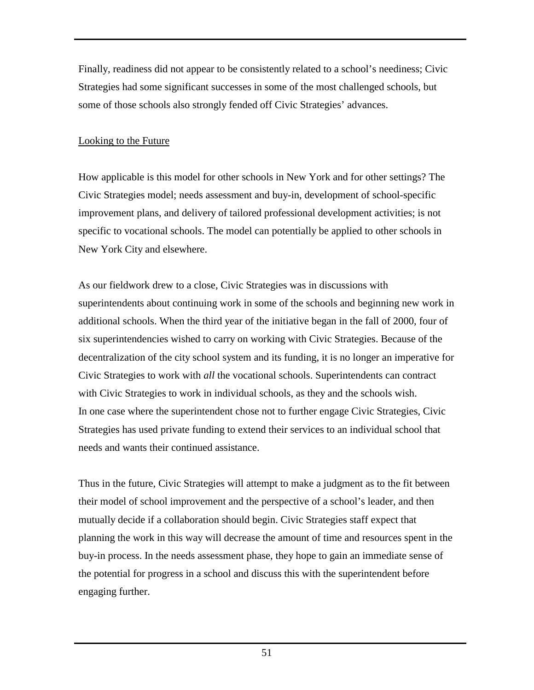<span id="page-53-0"></span>Finally, readiness did not appear to be consistently related to a school's neediness; Civic Strategies had some significant successes in some of the most challenged schools, but some of those schools also strongly fended off Civic Strategies' advances.

# Looking to the Future

How applicable is this model for other schools in New York and for other settings? The Civic Strategies model; needs assessment and buy-in, development of school-specific improvement plans, and delivery of tailored professional development activities; is not specific to vocational schools. The model can potentially be applied to other schools in New York City and elsewhere.

As our fieldwork drew to a close, Civic Strategies was in discussions with superintendents about continuing work in some of the schools and beginning new work in additional schools. When the third year of the initiative began in the fall of 2000, four of six superintendencies wished to carry on working with Civic Strategies. Because of the decentralization of the city school system and its funding, it is no longer an imperative for Civic Strategies to work with *all* the vocational schools. Superintendents can contract with Civic Strategies to work in individual schools, as they and the schools wish. In one case where the superintendent chose not to further engage Civic Strategies, Civic Strategies has used private funding to extend their services to an individual school that needs and wants their continued assistance.

Thus in the future, Civic Strategies will attempt to make a judgment as to the fit between their model of school improvement and the perspective of a school's leader, and then mutually decide if a collaboration should begin. Civic Strategies staff expect that planning the work in this way will decrease the amount of time and resources spent in the buy-in process. In the needs assessment phase, they hope to gain an immediate sense of the potential for progress in a school and discuss this with the superintendent before engaging further.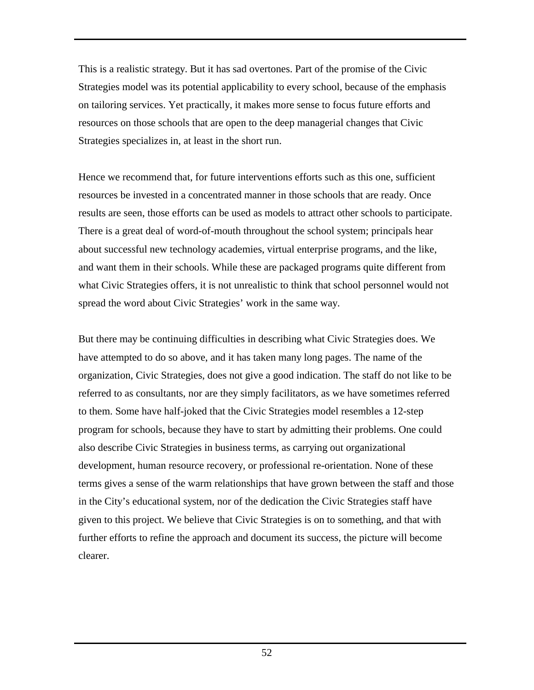This is a realistic strategy. But it has sad overtones. Part of the promise of the Civic Strategies model was its potential applicability to every school, because of the emphasis on tailoring services. Yet practically, it makes more sense to focus future efforts and resources on those schools that are open to the deep managerial changes that Civic Strategies specializes in, at least in the short run.

Hence we recommend that, for future interventions efforts such as this one, sufficient resources be invested in a concentrated manner in those schools that are ready. Once results are seen, those efforts can be used as models to attract other schools to participate. There is a great deal of word-of-mouth throughout the school system; principals hear about successful new technology academies, virtual enterprise programs, and the like, and want them in their schools. While these are packaged programs quite different from what Civic Strategies offers, it is not unrealistic to think that school personnel would not spread the word about Civic Strategies' work in the same way.

But there may be continuing difficulties in describing what Civic Strategies does. We have attempted to do so above, and it has taken many long pages. The name of the organization, Civic Strategies, does not give a good indication. The staff do not like to be referred to as consultants, nor are they simply facilitators, as we have sometimes referred to them. Some have half-joked that the Civic Strategies model resembles a 12-step program for schools, because they have to start by admitting their problems. One could also describe Civic Strategies in business terms, as carrying out organizational development, human resource recovery, or professional re-orientation. None of these terms gives a sense of the warm relationships that have grown between the staff and those in the City's educational system, nor of the dedication the Civic Strategies staff have given to this project. We believe that Civic Strategies is on to something, and that with further efforts to refine the approach and document its success, the picture will become clearer.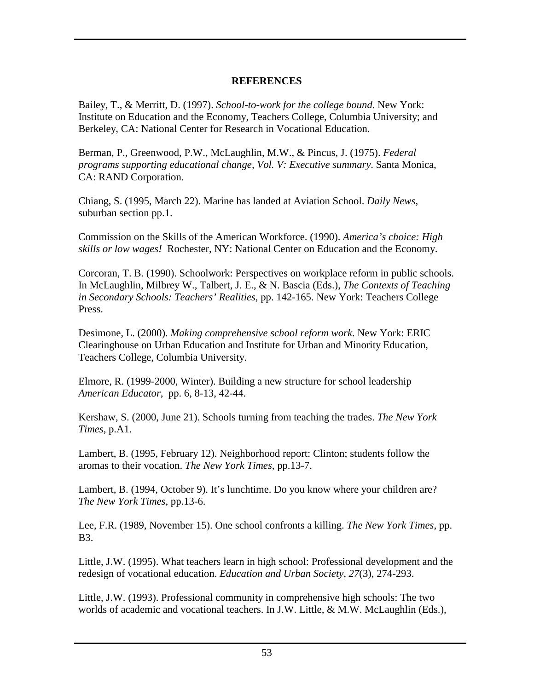### **REFERENCES**

<span id="page-55-0"></span>Bailey, T., & Merritt, D. (1997). *School-to-work for the college bound*. New York: Institute on Education and the Economy, Teachers College, Columbia University; and Berkeley, CA: National Center for Research in Vocational Education.

Berman, P., Greenwood, P.W., McLaughlin, M.W., & Pincus, J. (1975). *Federal programs supporting educational change, Vol. V: Executive summary*. Santa Monica, CA: RAND Corporation.

Chiang, S. (1995, March 22). Marine has landed at Aviation School. *Daily News*, suburban section pp.1.

Commission on the Skills of the American Workforce. (1990). *America's choice: High skills or low wages!* Rochester, NY: National Center on Education and the Economy.

Corcoran, T. B. (1990). Schoolwork: Perspectives on workplace reform in public schools. In McLaughlin, Milbrey W., Talbert, J. E., & N. Bascia (Eds.), *The Contexts of Teaching in Secondary Schools: Teachers' Realities,* pp. 142-165. New York: Teachers College Press.

Desimone, L. (2000). *Making comprehensive school reform work*. New York: ERIC Clearinghouse on Urban Education and Institute for Urban and Minority Education, Teachers College, Columbia University.

Elmore, R. (1999-2000, Winter). Building a new structure for school leadership *American Educator*, pp. 6, 8-13, 42-44.

Kershaw, S. (2000, June 21). Schools turning from teaching the trades. *The New York Times*, p.A1.

Lambert, B. (1995, February 12). Neighborhood report: Clinton; students follow the aromas to their vocation. *The New York Times*, pp.13-7.

Lambert, B. (1994, October 9). It's lunchtime. Do you know where your children are? *The New York Times*, pp.13-6.

Lee, F.R. (1989, November 15). One school confronts a killing. *The New York Times*, pp. B3.

Little, J.W. (1995). What teachers learn in high school: Professional development and the redesign of vocational education. *Education and Urban Society, 27*(3), 274-293.

Little, J.W. (1993). Professional community in comprehensive high schools: The two worlds of academic and vocational teachers. In J.W. Little, & M.W. McLaughlin (Eds.),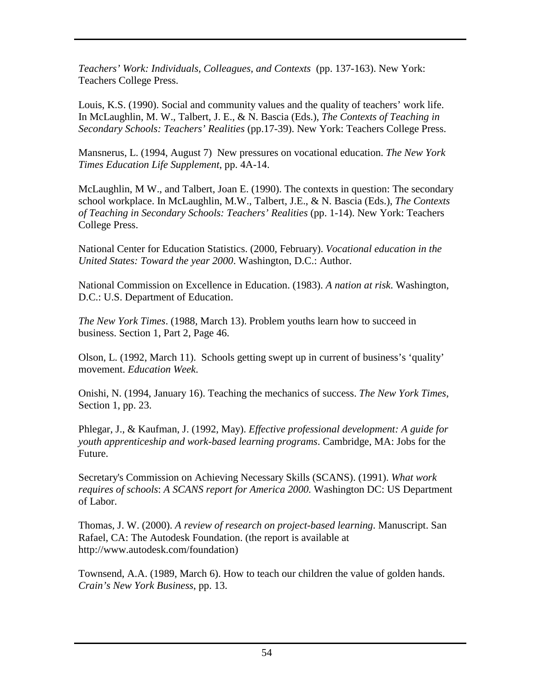*Teachers' Work: Individuals, Colleagues, and Contexts* (pp. 137-163). New York: Teachers College Press.

Louis, K.S. (1990). Social and community values and the quality of teachers' work life. In McLaughlin, M. W., Talbert, J. E., & N. Bascia (Eds.), *The Contexts of Teaching in Secondary Schools: Teachers' Realities* (pp.17-39). New York: Teachers College Press.

Mansnerus, L. (1994, August 7) New pressures on vocational education. *The New York Times Education Life Supplement*, pp. 4A-14.

McLaughlin, M W., and Talbert, Joan E. (1990). The contexts in question: The secondary school workplace. In McLaughlin, M.W., Talbert, J.E., & N. Bascia (Eds.), *The Contexts of Teaching in Secondary Schools: Teachers' Realities* (pp. 1-14). New York: Teachers College Press.

National Center for Education Statistics. (2000, February). *Vocational education in the United States: Toward the year 2000*. Washington, D.C.: Author.

National Commission on Excellence in Education. (1983). *A nation at risk*. Washington, D.C.: U.S. Department of Education.

*The New York Times*. (1988, March 13). Problem youths learn how to succeed in business. Section 1, Part 2, Page 46.

Olson, L. (1992, March 11). Schools getting swept up in current of business's 'quality' movement. *Education Week*.

Onishi, N. (1994, January 16). Teaching the mechanics of success. *The New York Times*, Section 1, pp. 23.

Phlegar, J., & Kaufman, J. (1992, May). *Effective professional development: A guide for youth apprenticeship and work-based learning programs*. Cambridge, MA: Jobs for the Future.

Secretary's Commission on Achieving Necessary Skills (SCANS). (1991). *What work requires of schools*: *A SCANS report for America 2000.* Washington DC: US Department of Labor.

Thomas, J. W. (2000). *A review of research on project-based learning*. Manuscript. San Rafael, CA: The Autodesk Foundation. (the report is available at http://www.autodesk.com/foundation)

Townsend, A.A. (1989, March 6). How to teach our children the value of golden hands. *Crain's New York Business*, pp. 13.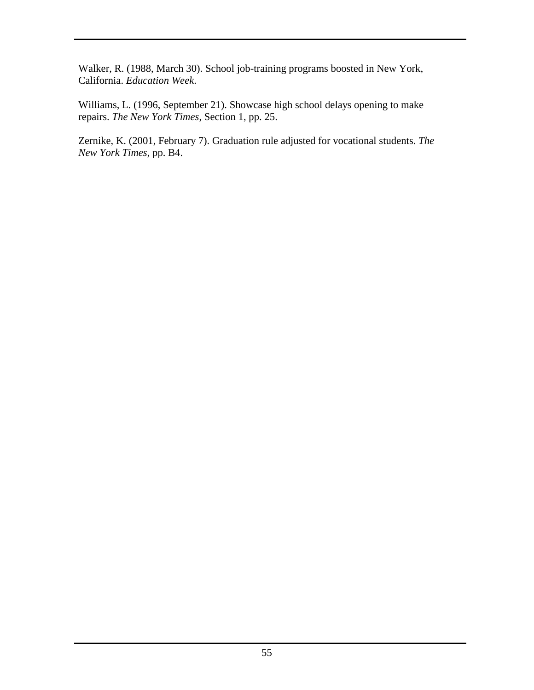Walker, R. (1988, March 30). School job-training programs boosted in New York, California. *Education Week*.

Williams, L. (1996, September 21). Showcase high school delays opening to make repairs. *The New York Times*, Section 1, pp. 25.

Zernike, K. (2001, February 7). Graduation rule adjusted for vocational students. *The New York Times*, pp. B4.